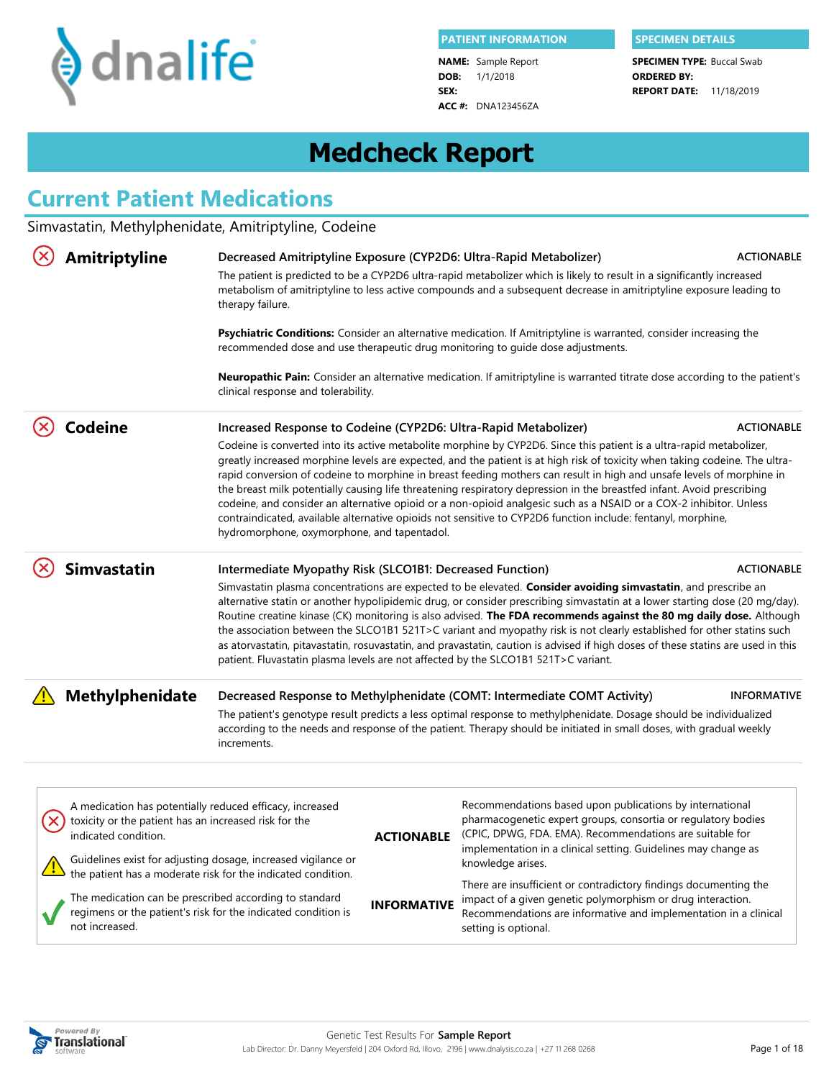

**DOB:** 1/1/2018 **SEX: NAME:** Sample Report **ACC #:** DNA123456ZA

**REPORT DATE:** 11/18/2019 **SPECIMEN TYPE: Buccal Swab ORDERED BY:**

# **Medcheck Report**

# **Current Patient Medications**

Simvastatin, Methylphenidate, Amitriptyline, Codeine

|                                | <b>Amitriptyline</b><br>Decreased Amitriptyline Exposure (CYP2D6: Ultra-Rapid Metabolizer)<br><b>ACTIONABLE</b><br>The patient is predicted to be a CYP2D6 ultra-rapid metabolizer which is likely to result in a significantly increased<br>metabolism of amitriptyline to less active compounds and a subsequent decrease in amitriptyline exposure leading to<br>therapy failure. |                                                                                                                                                                                                                                                                                                                                                                                                                                                                                                                                                                                                                                                                                                                                                                                                                                                                                     |                                                                                                                                                                                                                                                                                                                                                                                                                                                                                                                                                                                                                                   |                    |  |
|--------------------------------|--------------------------------------------------------------------------------------------------------------------------------------------------------------------------------------------------------------------------------------------------------------------------------------------------------------------------------------------------------------------------------------|-------------------------------------------------------------------------------------------------------------------------------------------------------------------------------------------------------------------------------------------------------------------------------------------------------------------------------------------------------------------------------------------------------------------------------------------------------------------------------------------------------------------------------------------------------------------------------------------------------------------------------------------------------------------------------------------------------------------------------------------------------------------------------------------------------------------------------------------------------------------------------------|-----------------------------------------------------------------------------------------------------------------------------------------------------------------------------------------------------------------------------------------------------------------------------------------------------------------------------------------------------------------------------------------------------------------------------------------------------------------------------------------------------------------------------------------------------------------------------------------------------------------------------------|--------------------|--|
|                                |                                                                                                                                                                                                                                                                                                                                                                                      | recommended dose and use therapeutic drug monitoring to guide dose adjustments.                                                                                                                                                                                                                                                                                                                                                                                                                                                                                                                                                                                                                                                                                                                                                                                                     | Psychiatric Conditions: Consider an alternative medication. If Amitriptyline is warranted, consider increasing the                                                                                                                                                                                                                                                                                                                                                                                                                                                                                                                |                    |  |
|                                |                                                                                                                                                                                                                                                                                                                                                                                      | clinical response and tolerability.                                                                                                                                                                                                                                                                                                                                                                                                                                                                                                                                                                                                                                                                                                                                                                                                                                                 | <b>Neuropathic Pain:</b> Consider an alternative medication. If amitriptyline is warranted titrate dose according to the patient's                                                                                                                                                                                                                                                                                                                                                                                                                                                                                                |                    |  |
|                                | <b>Codeine</b>                                                                                                                                                                                                                                                                                                                                                                       | <b>ACTIONABLE</b><br>Increased Response to Codeine (CYP2D6: Ultra-Rapid Metabolizer)<br>Codeine is converted into its active metabolite morphine by CYP2D6. Since this patient is a ultra-rapid metabolizer,<br>greatly increased morphine levels are expected, and the patient is at high risk of toxicity when taking codeine. The ultra-<br>rapid conversion of codeine to morphine in breast feeding mothers can result in high and unsafe levels of morphine in<br>the breast milk potentially causing life threatening respiratory depression in the breastfed infant. Avoid prescribing<br>codeine, and consider an alternative opioid or a non-opioid analgesic such as a NSAID or a COX-2 inhibitor. Unless<br>contraindicated, available alternative opioids not sensitive to CYP2D6 function include: fentanyl, morphine,<br>hydromorphone, oxymorphone, and tapentadol. |                                                                                                                                                                                                                                                                                                                                                                                                                                                                                                                                                                                                                                   |                    |  |
|                                | <b>Simvastatin</b>                                                                                                                                                                                                                                                                                                                                                                   | Intermediate Myopathy Risk (SLCO1B1: Decreased Function)<br>patient. Fluvastatin plasma levels are not affected by the SLCO1B1 521T>C variant.                                                                                                                                                                                                                                                                                                                                                                                                                                                                                                                                                                                                                                                                                                                                      | Simvastatin plasma concentrations are expected to be elevated. Consider avoiding simvastatin, and prescribe an<br>alternative statin or another hypolipidemic drug, or consider prescribing simvastatin at a lower starting dose (20 mg/day).<br>Routine creatine kinase (CK) monitoring is also advised. The FDA recommends against the 80 mg daily dose. Although<br>the association between the SLCO1B1 521T>C variant and myopathy risk is not clearly established for other statins such<br>as atorvastatin, pitavastatin, rosuvastatin, and pravastatin, caution is advised if high doses of these statins are used in this | <b>ACTIONABLE</b>  |  |
| Methylphenidate<br>increments. |                                                                                                                                                                                                                                                                                                                                                                                      |                                                                                                                                                                                                                                                                                                                                                                                                                                                                                                                                                                                                                                                                                                                                                                                                                                                                                     | Decreased Response to Methylphenidate (COMT: Intermediate COMT Activity)<br>The patient's genotype result predicts a less optimal response to methylphenidate. Dosage should be individualized<br>according to the needs and response of the patient. Therapy should be initiated in small doses, with gradual weekly                                                                                                                                                                                                                                                                                                             | <b>INFORMATIVE</b> |  |
|                                | A medication has potentially reduced efficacy, increased<br>toxicity or the patient has an increased risk for the<br>indicated condition.                                                                                                                                                                                                                                            | <b>ACTIONABLE</b>                                                                                                                                                                                                                                                                                                                                                                                                                                                                                                                                                                                                                                                                                                                                                                                                                                                                   | Recommendations based upon publications by international<br>pharmacogenetic expert groups, consortia or regulatory bodies<br>(CPIC, DPWG, FDA. EMA). Recommendations are suitable for<br>implementation in a clinical setting. Guidelines may change as                                                                                                                                                                                                                                                                                                                                                                           |                    |  |
|                                | not increased.                                                                                                                                                                                                                                                                                                                                                                       | Guidelines exist for adjusting dosage, increased vigilance or<br>the patient has a moderate risk for the indicated condition.<br>The medication can be prescribed according to standard<br><b>INFORMATIVE</b><br>regimens or the patient's risk for the indicated condition is                                                                                                                                                                                                                                                                                                                                                                                                                                                                                                                                                                                                      | knowledge arises.<br>There are insufficient or contradictory findings documenting the<br>impact of a given genetic polymorphism or drug interaction.<br>Recommendations are informative and implementation in a clinical<br>setting is optional.                                                                                                                                                                                                                                                                                                                                                                                  |                    |  |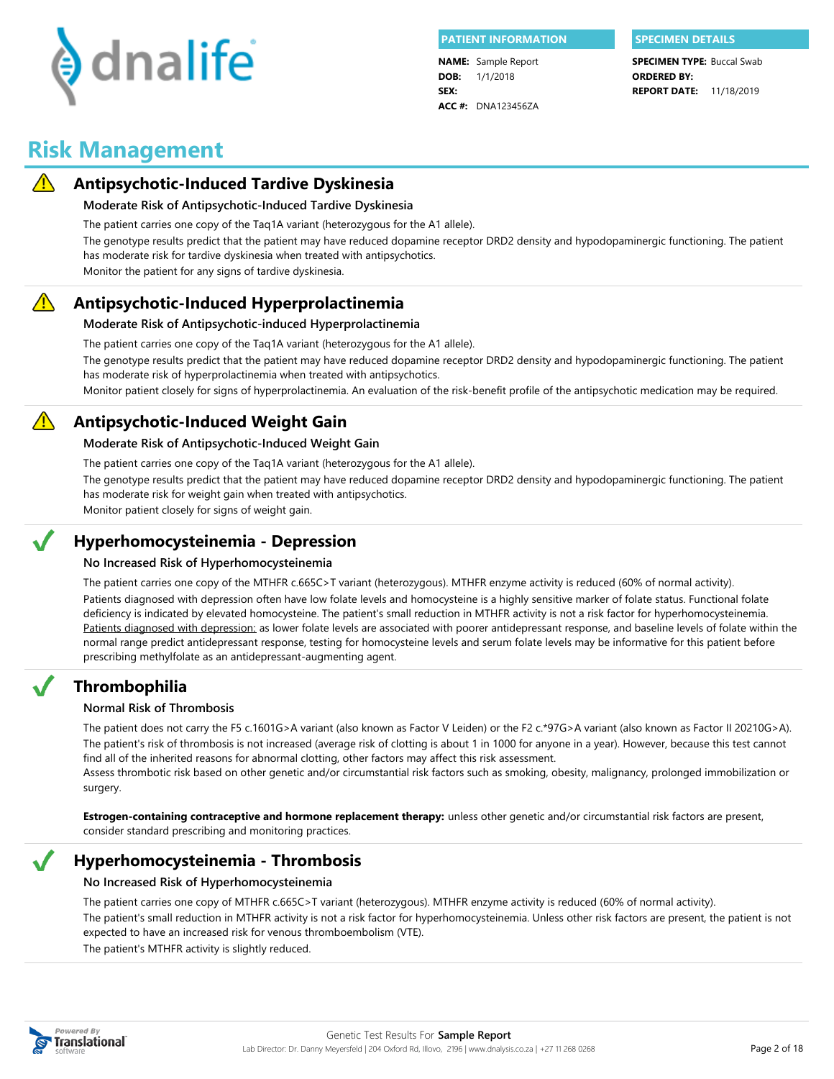

**DOB:** 1/1/2018 **SEX: NAME:** Sample Report **ACC #:** DNA123456ZA

**REPORT DATE:** 11/18/2019 **SPECIMEN TYPE: Buccal Swab ORDERED BY:**

## **Risk Management**



#### **Antipsychotic-Induced Tardive Dyskinesia**

#### **Moderate Risk of Antipsychotic-Induced Tardive Dyskinesia**

The patient carries one copy of the Taq1A variant (heterozygous for the A1 allele).

The genotype results predict that the patient may have reduced dopamine receptor DRD2 density and hypodopaminergic functioning. The patient has moderate risk for tardive dyskinesia when treated with antipsychotics.

Monitor the patient for any signs of tardive dyskinesia.

#### $\bigwedge$ **Antipsychotic-Induced Hyperprolactinemia**

#### **Moderate Risk of Antipsychotic-induced Hyperprolactinemia**

The patient carries one copy of the Taq1A variant (heterozygous for the A1 allele).

The genotype results predict that the patient may have reduced dopamine receptor DRD2 density and hypodopaminergic functioning. The patient has moderate risk of hyperprolactinemia when treated with antipsychotics.

Monitor patient closely for signs of hyperprolactinemia. An evaluation of the risk-benefit profile of the antipsychotic medication may be required.

### **Antipsychotic-Induced Weight Gain**

#### **Moderate Risk of Antipsychotic-Induced Weight Gain**

The patient carries one copy of the Taq1A variant (heterozygous for the A1 allele).

The genotype results predict that the patient may have reduced dopamine receptor DRD2 density and hypodopaminergic functioning. The patient has moderate risk for weight gain when treated with antipsychotics.

Monitor patient closely for signs of weight gain.

#### **Hyperhomocysteinemia - Depression**

#### **No Increased Risk of Hyperhomocysteinemia**

The patient carries one copy of the MTHFR c.665C>T variant (heterozygous). MTHFR enzyme activity is reduced (60% of normal activity). Patients diagnosed with depression: as lower folate levels are associated with poorer antidepressant response, and baseline levels of folate within the normal range predict antidepressant response, testing for homocysteine levels and serum folate levels may be informative for this patient before prescribing methylfolate as an antidepressant-augmenting agent. Patients diagnosed with depression often have low folate levels and homocysteine is a highly sensitive marker of folate status. Functional folate deficiency is indicated by elevated homocysteine. The patient's small reduction in MTHFR activity is not a risk factor for hyperhomocysteinemia.

### **Thrombophilia**

#### **Normal Risk of Thrombosis**

The patient does not carry the F5 c.1601G>A variant (also known as Factor V Leiden) or the F2 c.\*97G>A variant (also known as Factor II 20210G>A). The patient's risk of thrombosis is not increased (average risk of clotting is about 1 in 1000 for anyone in a year). However, because this test cannot find all of the inherited reasons for abnormal clotting, other factors may affect this risk assessment.

Assess thrombotic risk based on other genetic and/or circumstantial risk factors such as smoking, obesity, malignancy, prolonged immobilization or surgery.

**Estrogen-containing contraceptive and hormone replacement therapy:** unless other genetic and/or circumstantial risk factors are present, consider standard prescribing and monitoring practices.

#### **Hyperhomocysteinemia - Thrombosis**

#### **No Increased Risk of Hyperhomocysteinemia**

The patient carries one copy of MTHFR c.665C>T variant (heterozygous). MTHFR enzyme activity is reduced (60% of normal activity). The patient's small reduction in MTHFR activity is not a risk factor for hyperhomocysteinemia. Unless other risk factors are present, the patient is not expected to have an increased risk for venous thromboembolism (VTE).

The patient's MTHFR activity is slightly reduced.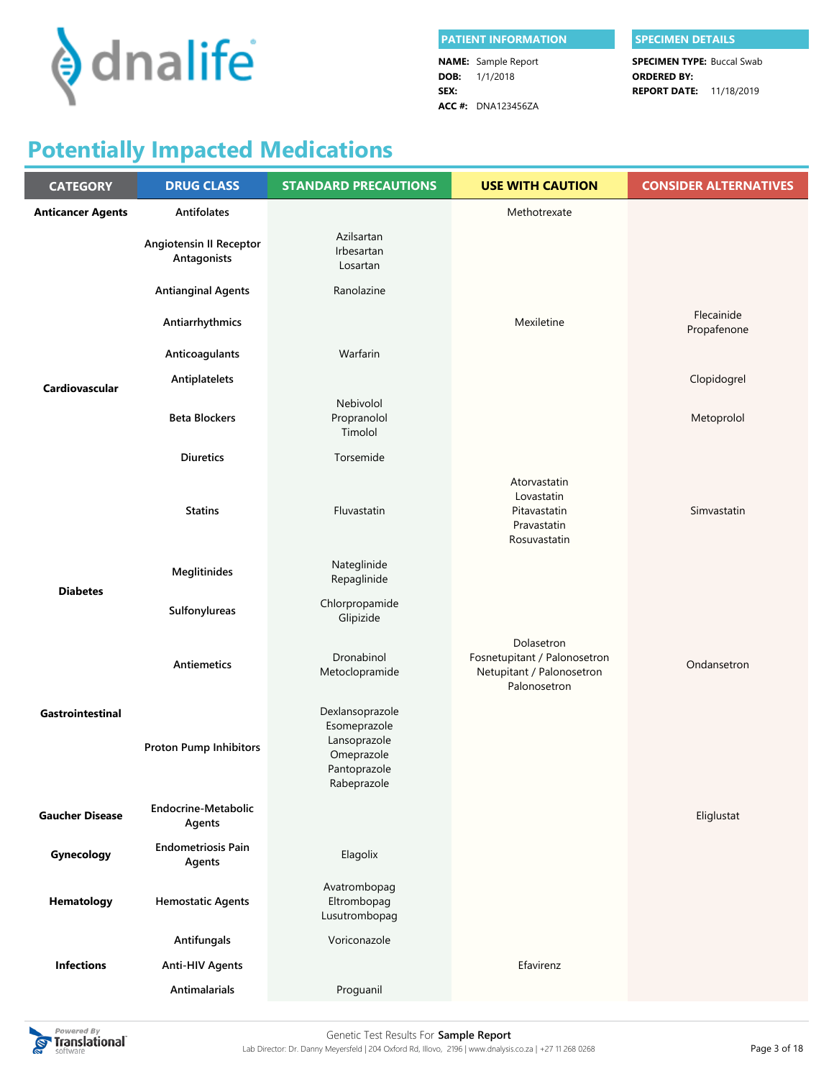

| <b>I PATIENT INFORMATION</b> | <b>SPECIMEN DETAILS</b>           |  |  |
|------------------------------|-----------------------------------|--|--|
| <b>NAME:</b> Sample Report   | <b>SPECIMEN TYPE: Buccal Swab</b> |  |  |
| <b>DOB:</b> $1/1/2018$       | <b>ORDERED BY:</b>                |  |  |
| SEX:                         | <b>REPORT DATE: 11/18/2019</b>    |  |  |
| $ACC$ #: DNA123456ZA         |                                   |  |  |

#### **PATHENT DETAILS**

# **Potentially Impacted Medications**

| <b>CATEGORY</b>          | <b>DRUG CLASS</b>                             | <b>STANDARD PRECAUTIONS</b>                                                                  | <b>USE WITH CAUTION</b>                                                                 | <b>CONSIDER ALTERNATIVES</b> |
|--------------------------|-----------------------------------------------|----------------------------------------------------------------------------------------------|-----------------------------------------------------------------------------------------|------------------------------|
| <b>Anticancer Agents</b> | <b>Antifolates</b>                            |                                                                                              | Methotrexate                                                                            |                              |
|                          | <b>Angiotensin II Receptor</b><br>Antagonists | Azilsartan<br>Irbesartan<br>Losartan                                                         |                                                                                         |                              |
|                          | <b>Antianginal Agents</b>                     | Ranolazine                                                                                   |                                                                                         |                              |
|                          | Antiarrhythmics                               |                                                                                              | Mexiletine                                                                              | Flecainide<br>Propafenone    |
|                          | Anticoagulants                                | Warfarin                                                                                     |                                                                                         |                              |
| <b>Cardiovascular</b>    | Antiplatelets                                 |                                                                                              |                                                                                         | Clopidogrel                  |
|                          | <b>Beta Blockers</b>                          | Nebivolol<br>Propranolol<br>Timolol                                                          |                                                                                         | Metoprolol                   |
|                          | <b>Diuretics</b>                              | Torsemide                                                                                    |                                                                                         |                              |
|                          | <b>Statins</b>                                | Fluvastatin                                                                                  | Atorvastatin<br>Lovastatin<br>Pitavastatin<br>Pravastatin<br>Rosuvastatin               | Simvastatin                  |
| <b>Diabetes</b>          | Meglitinides                                  | Nateglinide<br>Repaglinide                                                                   |                                                                                         |                              |
|                          | Sulfonylureas                                 | Chlorpropamide<br>Glipizide                                                                  |                                                                                         |                              |
|                          | <b>Antiemetics</b>                            | Dronabinol<br>Metoclopramide                                                                 | Dolasetron<br>Fosnetupitant / Palonosetron<br>Netupitant / Palonosetron<br>Palonosetron | Ondansetron                  |
| Gastrointestinal         | Proton Pump Inhibitors                        | Dexlansoprazole<br>Esomeprazole<br>Lansoprazole<br>Omeprazole<br>Pantoprazole<br>Rabeprazole |                                                                                         |                              |
| <b>Gaucher Disease</b>   | Endocrine-Metabolic<br>Agents                 |                                                                                              |                                                                                         | Eliglustat                   |
| Gynecology               | <b>Endometriosis Pain</b><br>Agents           | Elagolix                                                                                     |                                                                                         |                              |
| Hematology               | <b>Hemostatic Agents</b>                      | Avatrombopag<br>Eltrombopag<br>Lusutrombopag                                                 |                                                                                         |                              |
|                          | Antifungals                                   | Voriconazole                                                                                 |                                                                                         |                              |
| <b>Infections</b>        | <b>Anti-HIV Agents</b>                        |                                                                                              | Efavirenz                                                                               |                              |
|                          | <b>Antimalarials</b>                          | Proguanil                                                                                    |                                                                                         |                              |

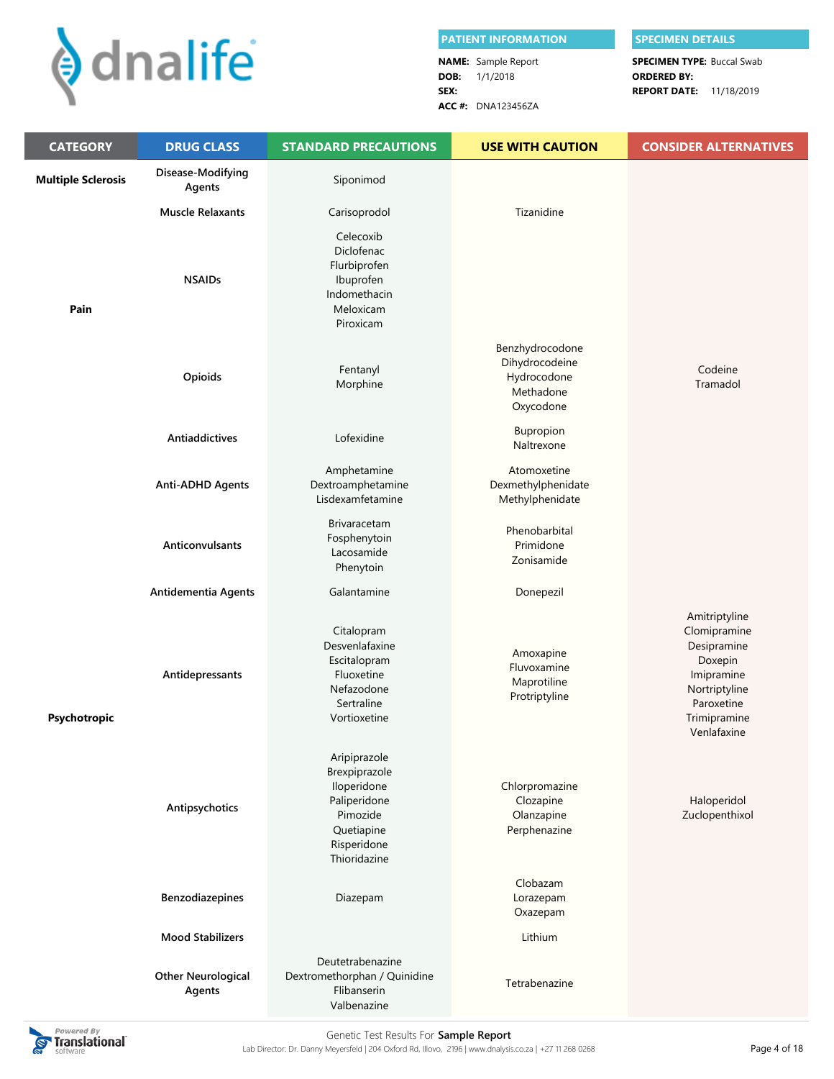

|      | <b>PATIENT INFORMATION</b> |                                   | <b>SPECIMEN DETAILS</b> |  |  |
|------|----------------------------|-----------------------------------|-------------------------|--|--|
|      | <b>NAME:</b> Sample Report | <b>SPECIMEN TYPE: Buccal Swab</b> |                         |  |  |
|      | <b>DOB:</b> $1/1/2018$     | <b>ORDERED BY:</b>                |                         |  |  |
| SEX: |                            | <b>REPORT DATE: 11/18/2019</b>    |                         |  |  |
|      | <b>ACC #: DNA123456ZA</b>  |                                   |                         |  |  |

| <b>CATEGORY</b>           | <b>DRUG CLASS</b>                   | <b>STANDARD PRECAUTIONS</b>                                                                                           | <b>USE WITH CAUTION</b>                                                    | <b>CONSIDER ALTERNATIVES</b>                                                                                                        |
|---------------------------|-------------------------------------|-----------------------------------------------------------------------------------------------------------------------|----------------------------------------------------------------------------|-------------------------------------------------------------------------------------------------------------------------------------|
| <b>Multiple Sclerosis</b> | Disease-Modifying<br>Agents         | Siponimod                                                                                                             |                                                                            |                                                                                                                                     |
|                           | <b>Muscle Relaxants</b>             | Carisoprodol                                                                                                          | Tizanidine                                                                 |                                                                                                                                     |
| Pain                      | <b>NSAIDs</b>                       | Celecoxib<br>Diclofenac<br>Flurbiprofen<br>Ibuprofen<br>Indomethacin<br>Meloxicam<br>Piroxicam                        |                                                                            |                                                                                                                                     |
|                           | Opioids                             | Fentanyl<br>Morphine                                                                                                  | Benzhydrocodone<br>Dihydrocodeine<br>Hydrocodone<br>Methadone<br>Oxycodone | Codeine<br>Tramadol                                                                                                                 |
|                           | Antiaddictives                      | Lofexidine                                                                                                            | Bupropion<br>Naltrexone                                                    |                                                                                                                                     |
|                           | <b>Anti-ADHD Agents</b>             | Amphetamine<br>Dextroamphetamine<br>Lisdexamfetamine                                                                  | Atomoxetine<br>Dexmethylphenidate<br>Methylphenidate                       |                                                                                                                                     |
|                           | Anticonvulsants                     | <b>Brivaracetam</b><br>Fosphenytoin<br>Lacosamide<br>Phenytoin                                                        | Phenobarbital<br>Primidone<br>Zonisamide                                   |                                                                                                                                     |
|                           | Antidementia Agents                 | Galantamine                                                                                                           | Donepezil                                                                  |                                                                                                                                     |
| Psychotropic              | Antidepressants                     | Citalopram<br>Desvenlafaxine<br>Escitalopram<br>Fluoxetine<br>Nefazodone<br>Sertraline<br>Vortioxetine                | Amoxapine<br>Fluvoxamine<br>Maprotiline<br>Protriptyline                   | Amitriptyline<br>Clomipramine<br>Desipramine<br>Doxepin<br>Imipramine<br>Nortriptyline<br>Paroxetine<br>Trimipramine<br>Venlafaxine |
|                           | Antipsychotics                      | Aripiprazole<br>Brexpiprazole<br>Iloperidone<br>Paliperidone<br>Pimozide<br>Quetiapine<br>Risperidone<br>Thioridazine | Chlorpromazine<br>Clozapine<br>Olanzapine<br>Perphenazine                  | Haloperidol<br>Zuclopenthixol                                                                                                       |
|                           | Benzodiazepines                     | Diazepam                                                                                                              | Clobazam<br>Lorazepam<br>Oxazepam                                          |                                                                                                                                     |
|                           | <b>Mood Stabilizers</b>             |                                                                                                                       | Lithium                                                                    |                                                                                                                                     |
|                           | <b>Other Neurological</b><br>Agents | Deutetrabenazine<br>Dextromethorphan / Quinidine<br>Flibanserin<br>Valbenazine                                        | Tetrabenazine                                                              |                                                                                                                                     |

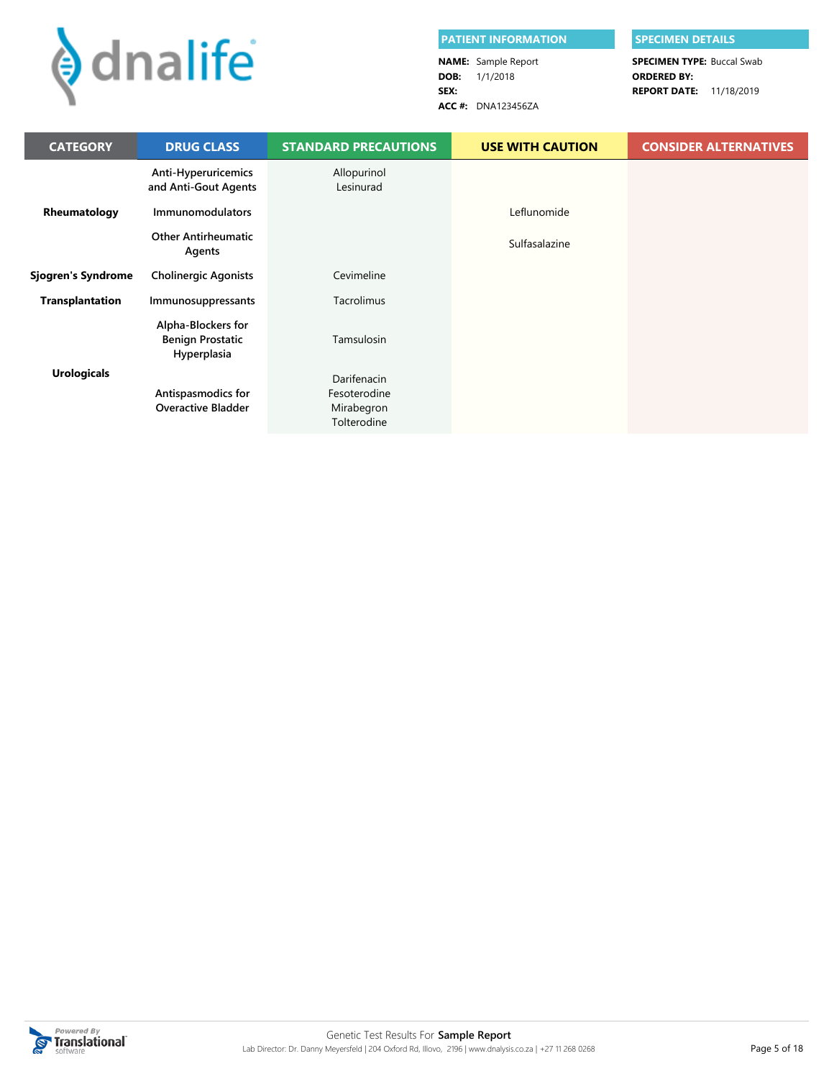

I

| <b>PATIENT INFORMATION</b> | <b>SPECIMEN DETAILS</b>           |  |  |
|----------------------------|-----------------------------------|--|--|
| <b>NAME:</b> Sample Report | <b>SPECIMEN TYPE: Buccal Swab</b> |  |  |
| <b>DOB:</b> $1/1/2018$     | <b>ORDERED BY:</b>                |  |  |
| SEX:                       | <b>REPORT DATE: 11/18/2019</b>    |  |  |
| ACC #: DNA123456ZA         |                                   |  |  |

| <b>CATEGORY</b>        | <b>DRUG CLASS</b>                                            | <b>STANDARD PRECAUTIONS</b>                              | <b>USE WITH CAUTION</b> | <b>CONSIDER ALTERNATIVES</b> |
|------------------------|--------------------------------------------------------------|----------------------------------------------------------|-------------------------|------------------------------|
|                        | Anti-Hyperuricemics<br>and Anti-Gout Agents                  | Allopurinol<br>Lesinurad                                 |                         |                              |
| Rheumatology           | <b>Immunomodulators</b>                                      |                                                          | Leflunomide             |                              |
|                        | <b>Other Antirheumatic</b><br>Agents                         |                                                          | Sulfasalazine           |                              |
| Sjogren's Syndrome     | <b>Cholinergic Agonists</b>                                  | Cevimeline                                               |                         |                              |
| <b>Transplantation</b> | Immunosuppressants                                           | Tacrolimus                                               |                         |                              |
|                        | Alpha-Blockers for<br><b>Benign Prostatic</b><br>Hyperplasia | Tamsulosin                                               |                         |                              |
| <b>Urologicals</b>     | Antispasmodics for<br><b>Overactive Bladder</b>              | Darifenacin<br>Fesoterodine<br>Mirabegron<br>Tolterodine |                         |                              |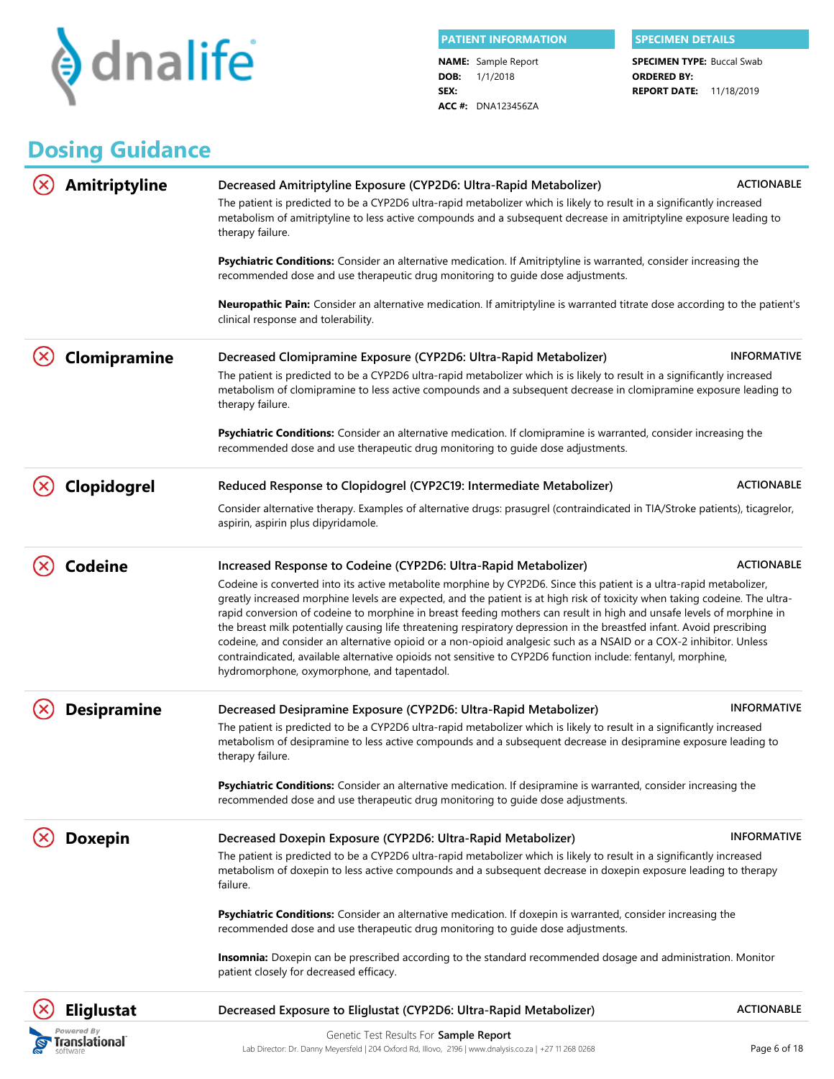

**DOB:** 1/1/2018 **SEX: NAME:** Sample Report **ACC #:** DNA123456ZA

**REPORT DATE:** 11/18/2019 **SPECIMEN TYPE: Buccal Swab ORDERED BY:**

# **Dosing Guidance**

| <b>Amitriptyline</b>                  | Decreased Amitriptyline Exposure (CYP2D6: Ultra-Rapid Metabolizer)<br>The patient is predicted to be a CYP2D6 ultra-rapid metabolizer which is likely to result in a significantly increased<br>metabolism of amitriptyline to less active compounds and a subsequent decrease in amitriptyline exposure leading to<br>therapy failure.                                                                                                                                                                                                                                                                                                                                                                                                                                                     | <b>ACTIONABLE</b>  |
|---------------------------------------|---------------------------------------------------------------------------------------------------------------------------------------------------------------------------------------------------------------------------------------------------------------------------------------------------------------------------------------------------------------------------------------------------------------------------------------------------------------------------------------------------------------------------------------------------------------------------------------------------------------------------------------------------------------------------------------------------------------------------------------------------------------------------------------------|--------------------|
|                                       | Psychiatric Conditions: Consider an alternative medication. If Amitriptyline is warranted, consider increasing the<br>recommended dose and use therapeutic drug monitoring to guide dose adjustments.                                                                                                                                                                                                                                                                                                                                                                                                                                                                                                                                                                                       |                    |
|                                       | <b>Neuropathic Pain:</b> Consider an alternative medication. If amitriptyline is warranted titrate dose according to the patient's<br>clinical response and tolerability.                                                                                                                                                                                                                                                                                                                                                                                                                                                                                                                                                                                                                   |                    |
| Clomipramine                          | Decreased Clomipramine Exposure (CYP2D6: Ultra-Rapid Metabolizer)                                                                                                                                                                                                                                                                                                                                                                                                                                                                                                                                                                                                                                                                                                                           | <b>INFORMATIVE</b> |
|                                       | The patient is predicted to be a CYP2D6 ultra-rapid metabolizer which is is likely to result in a significantly increased<br>metabolism of clomipramine to less active compounds and a subsequent decrease in clomipramine exposure leading to<br>therapy failure.                                                                                                                                                                                                                                                                                                                                                                                                                                                                                                                          |                    |
|                                       | <b>Psychiatric Conditions:</b> Consider an alternative medication. If clomipramine is warranted, consider increasing the<br>recommended dose and use therapeutic drug monitoring to guide dose adjustments.                                                                                                                                                                                                                                                                                                                                                                                                                                                                                                                                                                                 |                    |
| Clopidogrel                           | Reduced Response to Clopidogrel (CYP2C19: Intermediate Metabolizer)                                                                                                                                                                                                                                                                                                                                                                                                                                                                                                                                                                                                                                                                                                                         | <b>ACTIONABLE</b>  |
|                                       | Consider alternative therapy. Examples of alternative drugs: prasugrel (contraindicated in TIA/Stroke patients), ticagrelor,<br>aspirin, aspirin plus dipyridamole.                                                                                                                                                                                                                                                                                                                                                                                                                                                                                                                                                                                                                         |                    |
| Codeine                               | Increased Response to Codeine (CYP2D6: Ultra-Rapid Metabolizer)                                                                                                                                                                                                                                                                                                                                                                                                                                                                                                                                                                                                                                                                                                                             | <b>ACTIONABLE</b>  |
|                                       | Codeine is converted into its active metabolite morphine by CYP2D6. Since this patient is a ultra-rapid metabolizer,<br>greatly increased morphine levels are expected, and the patient is at high risk of toxicity when taking codeine. The ultra-<br>rapid conversion of codeine to morphine in breast feeding mothers can result in high and unsafe levels of morphine in<br>the breast milk potentially causing life threatening respiratory depression in the breastfed infant. Avoid prescribing<br>codeine, and consider an alternative opioid or a non-opioid analgesic such as a NSAID or a COX-2 inhibitor. Unless<br>contraindicated, available alternative opioids not sensitive to CYP2D6 function include: fentanyl, morphine,<br>hydromorphone, oxymorphone, and tapentadol. |                    |
| <b>Desipramine</b>                    | Decreased Desipramine Exposure (CYP2D6: Ultra-Rapid Metabolizer)                                                                                                                                                                                                                                                                                                                                                                                                                                                                                                                                                                                                                                                                                                                            | <b>INFORMATIVE</b> |
|                                       | The patient is predicted to be a CYP2D6 ultra-rapid metabolizer which is likely to result in a significantly increased<br>metabolism of desipramine to less active compounds and a subsequent decrease in desipramine exposure leading to<br>therapy failure.                                                                                                                                                                                                                                                                                                                                                                                                                                                                                                                               |                    |
|                                       | Psychiatric Conditions: Consider an alternative medication. If desipramine is warranted, consider increasing the<br>recommended dose and use therapeutic drug monitoring to guide dose adjustments.                                                                                                                                                                                                                                                                                                                                                                                                                                                                                                                                                                                         |                    |
| <b>Doxepin</b>                        | Decreased Doxepin Exposure (CYP2D6: Ultra-Rapid Metabolizer)                                                                                                                                                                                                                                                                                                                                                                                                                                                                                                                                                                                                                                                                                                                                | <b>INFORMATIVE</b> |
|                                       | The patient is predicted to be a CYP2D6 ultra-rapid metabolizer which is likely to result in a significantly increased<br>metabolism of doxepin to less active compounds and a subsequent decrease in doxepin exposure leading to therapy<br>failure.                                                                                                                                                                                                                                                                                                                                                                                                                                                                                                                                       |                    |
|                                       | Psychiatric Conditions: Consider an alternative medication. If doxepin is warranted, consider increasing the<br>recommended dose and use therapeutic drug monitoring to guide dose adjustments.                                                                                                                                                                                                                                                                                                                                                                                                                                                                                                                                                                                             |                    |
|                                       | Insomnia: Doxepin can be prescribed according to the standard recommended dosage and administration. Monitor<br>patient closely for decreased efficacy.                                                                                                                                                                                                                                                                                                                                                                                                                                                                                                                                                                                                                                     |                    |
| <b>Eliglustat</b>                     | Decreased Exposure to Eliglustat (CYP2D6: Ultra-Rapid Metabolizer)                                                                                                                                                                                                                                                                                                                                                                                                                                                                                                                                                                                                                                                                                                                          | <b>ACTIONABLE</b>  |
| rered By<br>ranslational <sup>-</sup> | Genetic Test Results For Sample Report                                                                                                                                                                                                                                                                                                                                                                                                                                                                                                                                                                                                                                                                                                                                                      |                    |
|                                       | Lab Director: Dr. Danny Meyersfeld   204 Oxford Rd, Illovo, 2196   www.dnalysis.co.za   +27 11 268 0268                                                                                                                                                                                                                                                                                                                                                                                                                                                                                                                                                                                                                                                                                     | Page 6 of 18       |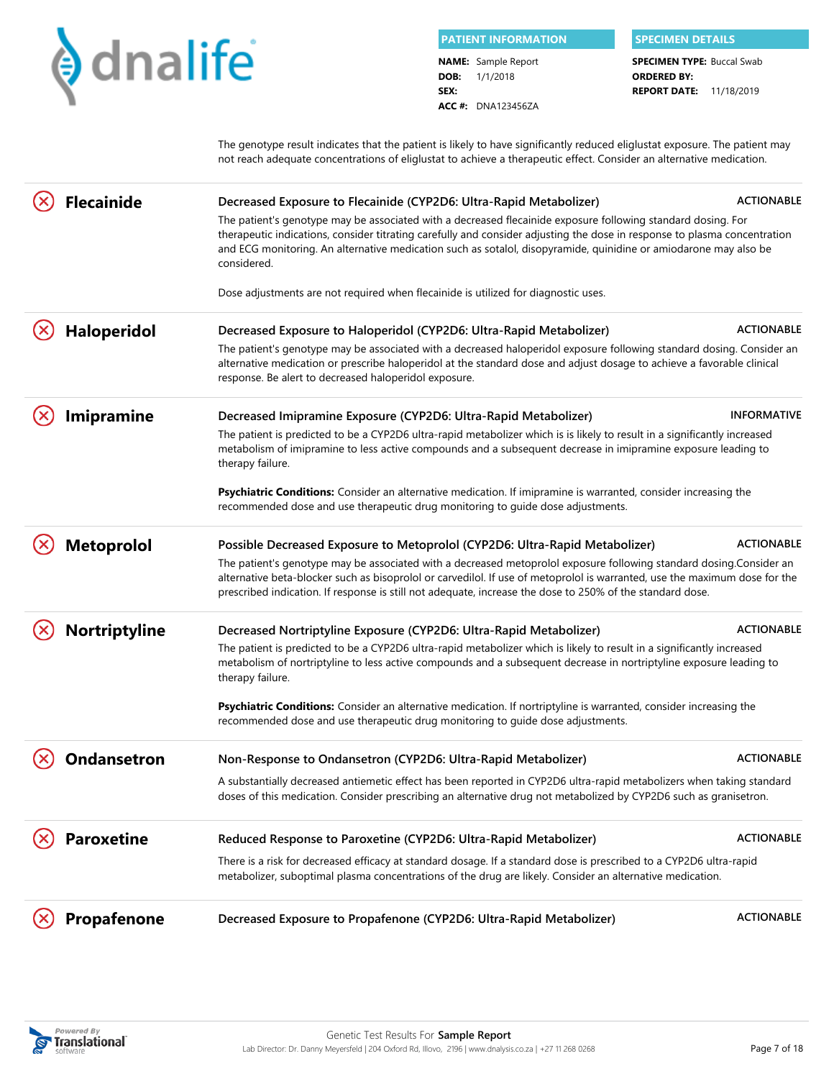

**DOB:** 1/1/2018 **SEX: PATIENT INFORMATION SPECIMEN DETAILS NAME:** Sample Report

**ACC #:** DNA123456ZA

**REPORT DATE:** 11/18/2019 **SPECIMEN TYPE: Buccal Swab ORDERED BY:**

The genotype result indicates that the patient is likely to have significantly reduced eliglustat exposure. The patient may not reach adequate concentrations of eliglustat to achieve a therapeutic effect. Consider an alternative medication.

| <b>Flecainide</b>  | Decreased Exposure to Flecainide (CYP2D6: Ultra-Rapid Metabolizer)<br>The patient's genotype may be associated with a decreased flecainide exposure following standard dosing. For<br>therapeutic indications, consider titrating carefully and consider adjusting the dose in response to plasma concentration<br>and ECG monitoring. An alternative medication such as sotalol, disopyramide, quinidine or amiodarone may also be<br>considered. | <b>ACTIONABLE</b>  |
|--------------------|----------------------------------------------------------------------------------------------------------------------------------------------------------------------------------------------------------------------------------------------------------------------------------------------------------------------------------------------------------------------------------------------------------------------------------------------------|--------------------|
|                    | Dose adjustments are not required when flecainide is utilized for diagnostic uses.                                                                                                                                                                                                                                                                                                                                                                 |                    |
| <b>Haloperidol</b> | Decreased Exposure to Haloperidol (CYP2D6: Ultra-Rapid Metabolizer)<br>The patient's genotype may be associated with a decreased haloperidol exposure following standard dosing. Consider an<br>alternative medication or prescribe haloperidol at the standard dose and adjust dosage to achieve a favorable clinical<br>response. Be alert to decreased haloperidol exposure.                                                                    | <b>ACTIONABLE</b>  |
| <b>Imipramine</b>  | Decreased Imipramine Exposure (CYP2D6: Ultra-Rapid Metabolizer)                                                                                                                                                                                                                                                                                                                                                                                    | <b>INFORMATIVE</b> |
|                    | The patient is predicted to be a CYP2D6 ultra-rapid metabolizer which is is likely to result in a significantly increased<br>metabolism of imipramine to less active compounds and a subsequent decrease in imipramine exposure leading to<br>therapy failure.                                                                                                                                                                                     |                    |
|                    | Psychiatric Conditions: Consider an alternative medication. If imipramine is warranted, consider increasing the<br>recommended dose and use therapeutic drug monitoring to guide dose adjustments.                                                                                                                                                                                                                                                 |                    |
| <b>Metoprolol</b>  | Possible Decreased Exposure to Metoprolol (CYP2D6: Ultra-Rapid Metabolizer)                                                                                                                                                                                                                                                                                                                                                                        | <b>ACTIONABLE</b>  |
|                    | The patient's genotype may be associated with a decreased metoprolol exposure following standard dosing.Consider an<br>alternative beta-blocker such as bisoprolol or carvedilol. If use of metoprolol is warranted, use the maximum dose for the<br>prescribed indication. If response is still not adequate, increase the dose to 250% of the standard dose.                                                                                     |                    |
| Nortriptyline      | Decreased Nortriptyline Exposure (CYP2D6: Ultra-Rapid Metabolizer)                                                                                                                                                                                                                                                                                                                                                                                 | <b>ACTIONABLE</b>  |
|                    | The patient is predicted to be a CYP2D6 ultra-rapid metabolizer which is likely to result in a significantly increased<br>metabolism of nortriptyline to less active compounds and a subsequent decrease in nortriptyline exposure leading to<br>therapy failure.                                                                                                                                                                                  |                    |
|                    | Psychiatric Conditions: Consider an alternative medication. If nortriptyline is warranted, consider increasing the<br>recommended dose and use therapeutic drug monitoring to guide dose adjustments.                                                                                                                                                                                                                                              |                    |
| <b>Ondansetron</b> | Non-Response to Ondansetron (CYP2D6: Ultra-Rapid Metabolizer)                                                                                                                                                                                                                                                                                                                                                                                      | <b>ACTIONABLE</b>  |
|                    | A substantially decreased antiemetic effect has been reported in CYP2D6 ultra-rapid metabolizers when taking standard<br>doses of this medication. Consider prescribing an alternative drug not metabolized by CYP2D6 such as granisetron.                                                                                                                                                                                                         |                    |
| <b>Paroxetine</b>  | Reduced Response to Paroxetine (CYP2D6: Ultra-Rapid Metabolizer)                                                                                                                                                                                                                                                                                                                                                                                   | <b>ACTIONABLE</b>  |
|                    | There is a risk for decreased efficacy at standard dosage. If a standard dose is prescribed to a CYP2D6 ultra-rapid<br>metabolizer, suboptimal plasma concentrations of the drug are likely. Consider an alternative medication.                                                                                                                                                                                                                   |                    |
| <b>Propafenone</b> | Decreased Exposure to Propafenone (CYP2D6: Ultra-Rapid Metabolizer)                                                                                                                                                                                                                                                                                                                                                                                | <b>ACTIONABLE</b>  |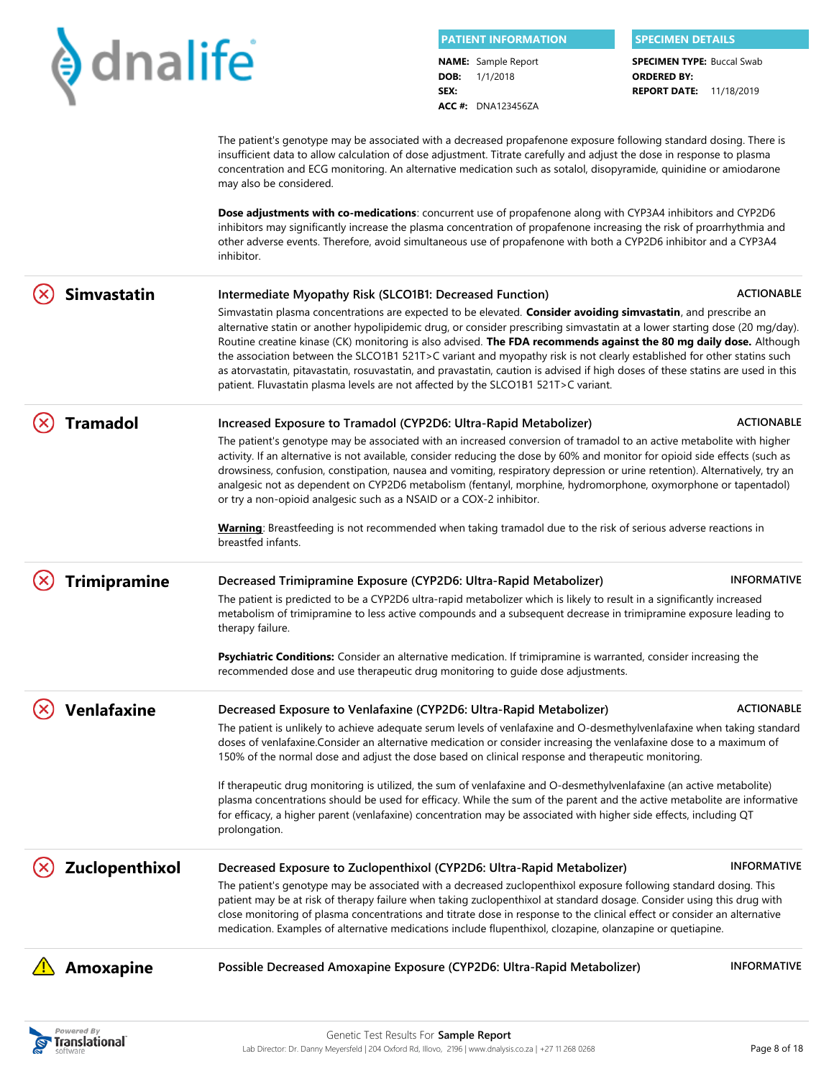|  |                         |                                                                                                                                                                                                                                                                                                                                                                                                                                                                                                                                                                                                                                                                                                                         |              | <b>PATIENT INFORMATION</b>                                          | <b>SPECIMEN DETAILS</b>                                                                   |                    |
|--|-------------------------|-------------------------------------------------------------------------------------------------------------------------------------------------------------------------------------------------------------------------------------------------------------------------------------------------------------------------------------------------------------------------------------------------------------------------------------------------------------------------------------------------------------------------------------------------------------------------------------------------------------------------------------------------------------------------------------------------------------------------|--------------|---------------------------------------------------------------------|-------------------------------------------------------------------------------------------|--------------------|
|  | $\blacklozenge$ dnalife |                                                                                                                                                                                                                                                                                                                                                                                                                                                                                                                                                                                                                                                                                                                         | DOB:<br>SEX: | <b>NAME:</b> Sample Report<br>1/1/2018<br><b>ACC #: DNA123456ZA</b> | <b>SPECIMEN TYPE: Buccal Swab</b><br><b>ORDERED BY:</b><br><b>REPORT DATE: 11/18/2019</b> |                    |
|  |                         | The patient's genotype may be associated with a decreased propafenone exposure following standard dosing. There is<br>insufficient data to allow calculation of dose adjustment. Titrate carefully and adjust the dose in response to plasma<br>concentration and ECG monitoring. An alternative medication such as sotalol, disopyramide, quinidine or amiodarone<br>may also be considered.                                                                                                                                                                                                                                                                                                                           |              |                                                                     |                                                                                           |                    |
|  |                         | Dose adjustments with co-medications: concurrent use of propafenone along with CYP3A4 inhibitors and CYP2D6<br>inhibitors may significantly increase the plasma concentration of propafenone increasing the risk of proarrhythmia and<br>other adverse events. Therefore, avoid simultaneous use of propafenone with both a CYP2D6 inhibitor and a CYP3A4<br>inhibitor.                                                                                                                                                                                                                                                                                                                                                 |              |                                                                     |                                                                                           |                    |
|  | <b>Simvastatin</b>      | Intermediate Myopathy Risk (SLCO1B1: Decreased Function)                                                                                                                                                                                                                                                                                                                                                                                                                                                                                                                                                                                                                                                                |              |                                                                     |                                                                                           | <b>ACTIONABLE</b>  |
|  |                         | Simvastatin plasma concentrations are expected to be elevated. Consider avoiding simvastatin, and prescribe an<br>alternative statin or another hypolipidemic drug, or consider prescribing simvastatin at a lower starting dose (20 mg/day).<br>Routine creatine kinase (CK) monitoring is also advised. The FDA recommends against the 80 mg daily dose. Although<br>the association between the SLCO1B1 521T>C variant and myopathy risk is not clearly established for other statins such<br>as atorvastatin, pitavastatin, rosuvastatin, and pravastatin, caution is advised if high doses of these statins are used in this<br>patient. Fluvastatin plasma levels are not affected by the SLCO1B1 521T>C variant. |              |                                                                     |                                                                                           |                    |
|  | <b>Tramadol</b>         | Increased Exposure to Tramadol (CYP2D6: Ultra-Rapid Metabolizer)                                                                                                                                                                                                                                                                                                                                                                                                                                                                                                                                                                                                                                                        |              |                                                                     |                                                                                           | <b>ACTIONABLE</b>  |
|  |                         | The patient's genotype may be associated with an increased conversion of tramadol to an active metabolite with higher<br>activity. If an alternative is not available, consider reducing the dose by 60% and monitor for opioid side effects (such as<br>drowsiness, confusion, constipation, nausea and vomiting, respiratory depression or urine retention). Alternatively, try an<br>analgesic not as dependent on CYP2D6 metabolism (fentanyl, morphine, hydromorphone, oxymorphone or tapentadol)<br>or try a non-opioid analgesic such as a NSAID or a COX-2 inhibitor.                                                                                                                                           |              |                                                                     |                                                                                           |                    |
|  |                         | Warning: Breastfeeding is not recommended when taking tramadol due to the risk of serious adverse reactions in<br>breastfed infants.                                                                                                                                                                                                                                                                                                                                                                                                                                                                                                                                                                                    |              |                                                                     |                                                                                           |                    |
|  | <b>Trimipramine</b>     | Decreased Trimipramine Exposure (CYP2D6: Ultra-Rapid Metabolizer)                                                                                                                                                                                                                                                                                                                                                                                                                                                                                                                                                                                                                                                       |              |                                                                     |                                                                                           | <b>INFORMATIVE</b> |
|  |                         | The patient is predicted to be a CYP2D6 ultra-rapid metabolizer which is likely to result in a significantly increased<br>metabolism of trimipramine to less active compounds and a subsequent decrease in trimipramine exposure leading to<br>therapy failure.                                                                                                                                                                                                                                                                                                                                                                                                                                                         |              |                                                                     |                                                                                           |                    |
|  |                         | Psychiatric Conditions: Consider an alternative medication. If trimipramine is warranted, consider increasing the<br>recommended dose and use therapeutic drug monitoring to guide dose adjustments.                                                                                                                                                                                                                                                                                                                                                                                                                                                                                                                    |              |                                                                     |                                                                                           |                    |
|  | <b>Venlafaxine</b>      | Decreased Exposure to Venlafaxine (CYP2D6: Ultra-Rapid Metabolizer)                                                                                                                                                                                                                                                                                                                                                                                                                                                                                                                                                                                                                                                     |              |                                                                     |                                                                                           | <b>ACTIONABLE</b>  |
|  |                         | The patient is unlikely to achieve adequate serum levels of venlafaxine and O-desmethylvenlafaxine when taking standard<br>doses of venlafaxine.Consider an alternative medication or consider increasing the venlafaxine dose to a maximum of<br>150% of the normal dose and adjust the dose based on clinical response and therapeutic monitoring.                                                                                                                                                                                                                                                                                                                                                                    |              |                                                                     |                                                                                           |                    |
|  |                         | If therapeutic drug monitoring is utilized, the sum of venlafaxine and O-desmethylvenlafaxine (an active metabolite)<br>plasma concentrations should be used for efficacy. While the sum of the parent and the active metabolite are informative<br>for efficacy, a higher parent (venlafaxine) concentration may be associated with higher side effects, including QT<br>prolongation.                                                                                                                                                                                                                                                                                                                                 |              |                                                                     |                                                                                           |                    |
|  | Zuclopenthixol          | Decreased Exposure to Zuclopenthixol (CYP2D6: Ultra-Rapid Metabolizer)<br>The patient's genotype may be associated with a decreased zuclopenthixol exposure following standard dosing. This<br>patient may be at risk of therapy failure when taking zuclopenthixol at standard dosage. Consider using this drug with                                                                                                                                                                                                                                                                                                                                                                                                   |              |                                                                     |                                                                                           | <b>INFORMATIVE</b> |
|  |                         | close monitoring of plasma concentrations and titrate dose in response to the clinical effect or consider an alternative<br>medication. Examples of alternative medications include flupenthixol, clozapine, olanzapine or quetiapine.                                                                                                                                                                                                                                                                                                                                                                                                                                                                                  |              |                                                                     |                                                                                           |                    |
|  | Amoxapine               | Possible Decreased Amoxapine Exposure (CYP2D6: Ultra-Rapid Metabolizer)                                                                                                                                                                                                                                                                                                                                                                                                                                                                                                                                                                                                                                                 |              |                                                                     |                                                                                           | <b>INFORMATIVE</b> |

Powered By<br> **Separational**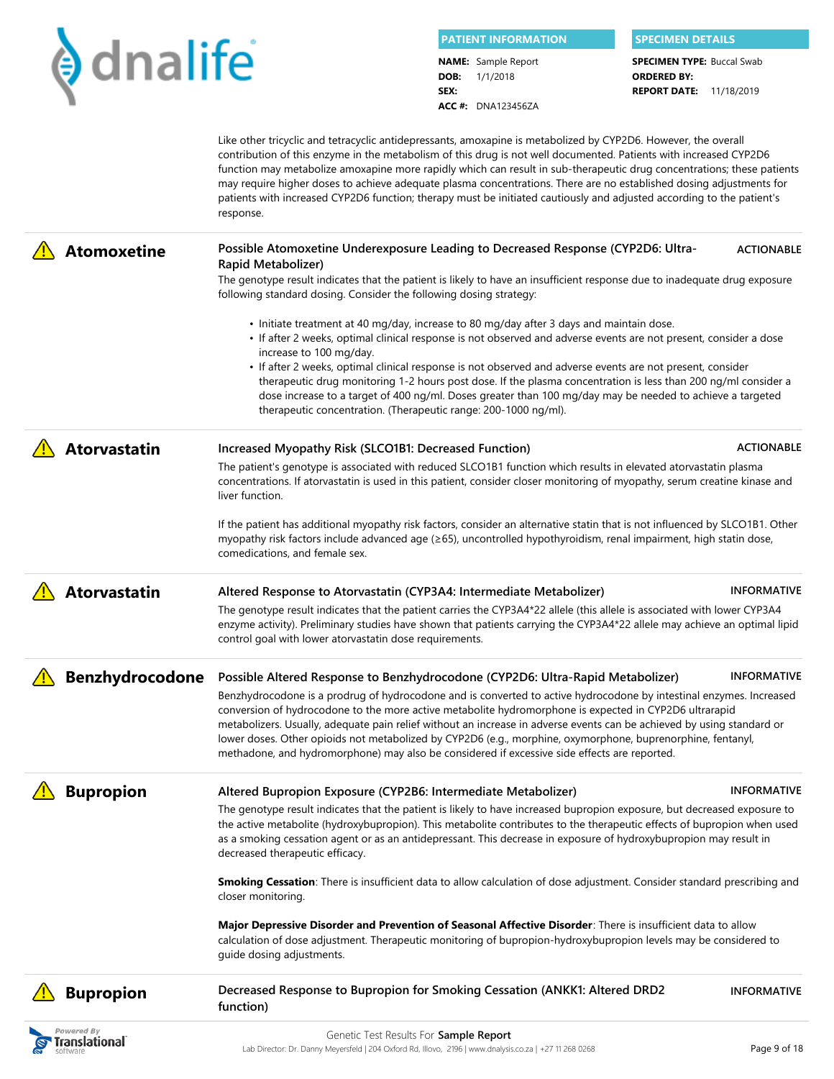|      | <b>PATIENT INFORMATION</b> | <b>SPECIMEN DETAILS</b>           |
|------|----------------------------|-----------------------------------|
|      | <b>NAME:</b> Sample Report | <b>SPECIMEN TYPE: Buccal Swab</b> |
|      | <b>DOB:</b> $1/1/2018$     | <b>ORDERED BY:</b>                |
| SEX: |                            | <b>REPORT DATE:</b> 11/18/2019    |

**ACC #:** DNA123456ZA

**REPORT DATE:** 11/18/2019 **ORDERED BY:**

|                     | Like other tricyclic and tetracyclic antidepressants, amoxapine is metabolized by CYP2D6. However, the overall<br>contribution of this enzyme in the metabolism of this drug is not well documented. Patients with increased CYP2D6<br>function may metabolize amoxapine more rapidly which can result in sub-therapeutic drug concentrations; these patients<br>may require higher doses to achieve adequate plasma concentrations. There are no established dosing adjustments for<br>patients with increased CYP2D6 function; therapy must be initiated cautiously and adjusted according to the patient's<br>response. |
|---------------------|----------------------------------------------------------------------------------------------------------------------------------------------------------------------------------------------------------------------------------------------------------------------------------------------------------------------------------------------------------------------------------------------------------------------------------------------------------------------------------------------------------------------------------------------------------------------------------------------------------------------------|
| <b>Atomoxetine</b>  | Possible Atomoxetine Underexposure Leading to Decreased Response (CYP2D6: Ultra-<br><b>ACTIONABLE</b><br>Rapid Metabolizer)                                                                                                                                                                                                                                                                                                                                                                                                                                                                                                |
|                     | The genotype result indicates that the patient is likely to have an insufficient response due to inadequate drug exposure<br>following standard dosing. Consider the following dosing strategy:                                                                                                                                                                                                                                                                                                                                                                                                                            |
|                     | • Initiate treatment at 40 mg/day, increase to 80 mg/day after 3 days and maintain dose.                                                                                                                                                                                                                                                                                                                                                                                                                                                                                                                                   |
|                     | • If after 2 weeks, optimal clinical response is not observed and adverse events are not present, consider a dose<br>increase to 100 mg/day.                                                                                                                                                                                                                                                                                                                                                                                                                                                                               |
|                     | • If after 2 weeks, optimal clinical response is not observed and adverse events are not present, consider<br>therapeutic drug monitoring 1-2 hours post dose. If the plasma concentration is less than 200 ng/ml consider a<br>dose increase to a target of 400 ng/ml. Doses greater than 100 mg/day may be needed to achieve a targeted<br>therapeutic concentration. (Therapeutic range: 200-1000 ng/ml).                                                                                                                                                                                                               |
| <b>Atorvastatin</b> | <b>ACTIONABLE</b><br>Increased Myopathy Risk (SLCO1B1: Decreased Function)                                                                                                                                                                                                                                                                                                                                                                                                                                                                                                                                                 |

The patient's genotype is associated with reduced SLCO1B1 function which results in elevated atorvastatin plasma concentrations. If atorvastatin is used in this patient, consider closer monitoring of myopathy, serum creatine kinase and liver function.

If the patient has additional myopathy risk factors, consider an alternative statin that is not influenced by SLCO1B1. Other myopathy risk factors include advanced age (≥65), uncontrolled hypothyroidism, renal impairment, high statin dose, comedications, and female sex.

**Atorvastatin Altered Response to Atorvastatin (CYP3A4: Intermediate Metabolizer)** The genotype result indicates that the patient carries the CYP3A4\*22 allele (this allele is associated with lower CYP3A4 enzyme activity). Preliminary studies have shown that patients carrying the CYP3A4\*22 allele may achieve an optimal lipid **INFORMATIVE**

**Benzhydrocodone** Possible Altered Response to Benzhydrocodone (CYP2D6: Ultra-Rapid Metabolizer) Benzhydrocodone is a prodrug of hydrocodone and is converted to active hydrocodone by intestinal enzymes. Increased conversion of hydrocodone to the more active metabolite hydromorphone is expected in CYP2D6 ultrarapid metabolizers. Usually, adequate pain relief without an increase in adverse events can be achieved by using standard or lower doses. Other opioids not metabolized by CYP2D6 (e.g., morphine, oxymorphone, buprenorphine, fentanyl, methadone, and hydromorphone) may also be considered if excessive side effects are reported. **INFORMATIVE**

**Bupropion Altered Bupropion Exposure (CYP2B6: Intermediate Metabolizer)** 

control goal with lower atorvastatin dose requirements.

The genotype result indicates that the patient is likely to have increased bupropion exposure, but decreased exposure to the active metabolite (hydroxybupropion). This metabolite contributes to the therapeutic effects of bupropion when used as a smoking cessation agent or as an antidepressant. This decrease in exposure of hydroxybupropion may result in decreased therapeutic efficacy.

**Smoking Cessation**: There is insufficient data to allow calculation of dose adjustment. Consider standard prescribing and closer monitoring.

**Major Depressive Disorder and Prevention of Seasonal Affective Disorder**: There is insufficient data to allow calculation of dose adjustment. Therapeutic monitoring of bupropion-hydroxybupropion levels may be considered to guide dosing adjustments.

| <b>A</b> Bupropion | Decreased Response to Bupropion for Smoking Cessation (ANKK1: Altered DRD2<br>function) | <b>INFORMATIVE</b> |
|--------------------|-----------------------------------------------------------------------------------------|--------------------|
|--------------------|-----------------------------------------------------------------------------------------|--------------------|



**INFORMATIVE**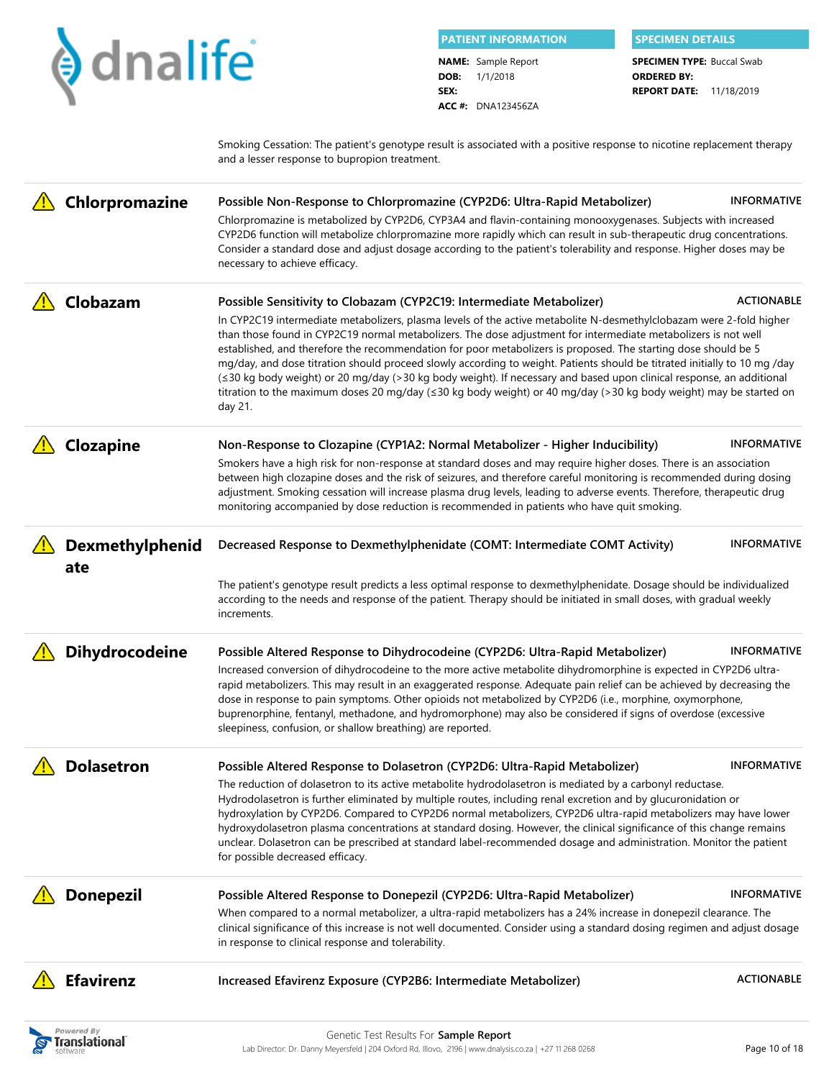| $\blacklozenge$ dnalife<br><b>NAME:</b> Sample Report<br><b>SPECIMEN TYPE: Buccal Swab</b><br>1/1/2018<br>DOB:<br><b>ORDERED BY:</b><br>SEX:<br><b>REPORT DATE: 11/18/2019</b><br><b>ACC #: DNA123456ZA</b><br>Smoking Cessation: The patient's genotype result is associated with a positive response to nicotine replacement therapy<br>and a lesser response to bupropion treatment.<br>Chlorpromazine<br><b>INFORMATIVE</b><br>Possible Non-Response to Chlorpromazine (CYP2D6: Ultra-Rapid Metabolizer)<br>Chlorpromazine is metabolized by CYP2D6, CYP3A4 and flavin-containing monooxygenases. Subjects with increased<br>CYP2D6 function will metabolize chlorpromazine more rapidly which can result in sub-therapeutic drug concentrations.<br>Consider a standard dose and adjust dosage according to the patient's tolerability and response. Higher doses may be<br>necessary to achieve efficacy.<br>Clobazam<br><b>ACTIONABLE</b><br>Possible Sensitivity to Clobazam (CYP2C19: Intermediate Metabolizer)<br>In CYP2C19 intermediate metabolizers, plasma levels of the active metabolite N-desmethylclobazam were 2-fold higher<br>than those found in CYP2C19 normal metabolizers. The dose adjustment for intermediate metabolizers is not well<br>established, and therefore the recommendation for poor metabolizers is proposed. The starting dose should be 5<br>mg/day, and dose titration should proceed slowly according to weight. Patients should be titrated initially to 10 mg /day<br>(≤30 kg body weight) or 20 mg/day (>30 kg body weight). If necessary and based upon clinical response, an additional<br>titration to the maximum doses 20 mg/day (≤30 kg body weight) or 40 mg/day (>30 kg body weight) may be started on<br>day 21.<br>Clozapine<br><b>INFORMATIVE</b><br>Non-Response to Clozapine (CYP1A2: Normal Metabolizer - Higher Inducibility)<br>Smokers have a high risk for non-response at standard doses and may require higher doses. There is an association<br>between high clozapine doses and the risk of seizures, and therefore careful monitoring is recommended during dosing<br>adjustment. Smoking cessation will increase plasma drug levels, leading to adverse events. Therefore, therapeutic drug<br>monitoring accompanied by dose reduction is recommended in patients who have quit smoking.<br>Dexmethylphenid<br><b>INFORMATIVE</b><br>Decreased Response to Dexmethylphenidate (COMT: Intermediate COMT Activity)<br>ate<br>The patient's genotype result predicts a less optimal response to dexmethylphenidate. Dosage should be individualized<br>according to the needs and response of the patient. Therapy should be initiated in small doses, with gradual weekly<br>increments.<br><b>Dihydrocodeine</b><br><b>INFORMATIVE</b><br>Possible Altered Response to Dihydrocodeine (CYP2D6: Ultra-Rapid Metabolizer)<br>Increased conversion of dihydrocodeine to the more active metabolite dihydromorphine is expected in CYP2D6 ultra-<br>rapid metabolizers. This may result in an exaggerated response. Adequate pain relief can be achieved by decreasing the<br>dose in response to pain symptoms. Other opioids not metabolized by CYP2D6 (i.e., morphine, oxymorphone,<br>buprenorphine, fentanyl, methadone, and hydromorphone) may also be considered if signs of overdose (excessive<br>sleepiness, confusion, or shallow breathing) are reported.<br><b>Dolasetron</b><br><b>INFORMATIVE</b><br>Possible Altered Response to Dolasetron (CYP2D6: Ultra-Rapid Metabolizer)<br>The reduction of dolasetron to its active metabolite hydrodolasetron is mediated by a carbonyl reductase.<br>Hydrodolasetron is further eliminated by multiple routes, including renal excretion and by glucuronidation or<br>hydroxylation by CYP2D6. Compared to CYP2D6 normal metabolizers, CYP2D6 ultra-rapid metabolizers may have lower<br>hydroxydolasetron plasma concentrations at standard dosing. However, the clinical significance of this change remains<br>unclear. Dolasetron can be prescribed at standard label-recommended dosage and administration. Monitor the patient<br>for possible decreased efficacy.<br><b>Donepezil</b><br><b>INFORMATIVE</b><br>Possible Altered Response to Donepezil (CYP2D6: Ultra-Rapid Metabolizer)<br>When compared to a normal metabolizer, a ultra-rapid metabolizers has a 24% increase in donepezil clearance. The<br>clinical significance of this increase is not well documented. Consider using a standard dosing regimen and adjust dosage<br>in response to clinical response and tolerability.<br><b>Efavirenz</b><br><b>ACTIONABLE</b><br>Increased Efavirenz Exposure (CYP2B6: Intermediate Metabolizer) |  |  | <b>PATIENT INFORMATION</b> | <b>SPECIMEN DETAILS</b> |  |
|-----------------------------------------------------------------------------------------------------------------------------------------------------------------------------------------------------------------------------------------------------------------------------------------------------------------------------------------------------------------------------------------------------------------------------------------------------------------------------------------------------------------------------------------------------------------------------------------------------------------------------------------------------------------------------------------------------------------------------------------------------------------------------------------------------------------------------------------------------------------------------------------------------------------------------------------------------------------------------------------------------------------------------------------------------------------------------------------------------------------------------------------------------------------------------------------------------------------------------------------------------------------------------------------------------------------------------------------------------------------------------------------------------------------------------------------------------------------------------------------------------------------------------------------------------------------------------------------------------------------------------------------------------------------------------------------------------------------------------------------------------------------------------------------------------------------------------------------------------------------------------------------------------------------------------------------------------------------------------------------------------------------------------------------------------------------------------------------------------------------------------------------------------------------------------------------------------------------------------------------------------------------------------------------------------------------------------------------------------------------------------------------------------------------------------------------------------------------------------------------------------------------------------------------------------------------------------------------------------------------------------------------------------------------------------------------------------------------------------------------------------------------------------------------------------------------------------------------------------------------------------------------------------------------------------------------------------------------------------------------------------------------------------------------------------------------------------------------------------------------------------------------------------------------------------------------------------------------------------------------------------------------------------------------------------------------------------------------------------------------------------------------------------------------------------------------------------------------------------------------------------------------------------------------------------------------------------------------------------------------------------------------------------------------------------------------------------------------------------------------------------------------------------------------------------------------------------------------------------------------------------------------------------------------------------------------------------------------------------------------------------------------------------------------------------------------------------------------------------------------------------------------------------------------------------------------------------------------------------------------------------------------------------------------------------------------------------------------------------------------------------------------------------------------------------------------------------------------------------------------------------------------------------------------------------------------------------------------------------------------------------------------------------------------------------------------------------------------------------------------------|--|--|----------------------------|-------------------------|--|
|                                                                                                                                                                                                                                                                                                                                                                                                                                                                                                                                                                                                                                                                                                                                                                                                                                                                                                                                                                                                                                                                                                                                                                                                                                                                                                                                                                                                                                                                                                                                                                                                                                                                                                                                                                                                                                                                                                                                                                                                                                                                                                                                                                                                                                                                                                                                                                                                                                                                                                                                                                                                                                                                                                                                                                                                                                                                                                                                                                                                                                                                                                                                                                                                                                                                                                                                                                                                                                                                                                                                                                                                                                                                                                                                                                                                                                                                                                                                                                                                                                                                                                                                                                                                                                                                                                                                                                                                                                                                                                                                                                                                                                                                                                                                               |  |  |                            |                         |  |
|                                                                                                                                                                                                                                                                                                                                                                                                                                                                                                                                                                                                                                                                                                                                                                                                                                                                                                                                                                                                                                                                                                                                                                                                                                                                                                                                                                                                                                                                                                                                                                                                                                                                                                                                                                                                                                                                                                                                                                                                                                                                                                                                                                                                                                                                                                                                                                                                                                                                                                                                                                                                                                                                                                                                                                                                                                                                                                                                                                                                                                                                                                                                                                                                                                                                                                                                                                                                                                                                                                                                                                                                                                                                                                                                                                                                                                                                                                                                                                                                                                                                                                                                                                                                                                                                                                                                                                                                                                                                                                                                                                                                                                                                                                                                               |  |  |                            |                         |  |
|                                                                                                                                                                                                                                                                                                                                                                                                                                                                                                                                                                                                                                                                                                                                                                                                                                                                                                                                                                                                                                                                                                                                                                                                                                                                                                                                                                                                                                                                                                                                                                                                                                                                                                                                                                                                                                                                                                                                                                                                                                                                                                                                                                                                                                                                                                                                                                                                                                                                                                                                                                                                                                                                                                                                                                                                                                                                                                                                                                                                                                                                                                                                                                                                                                                                                                                                                                                                                                                                                                                                                                                                                                                                                                                                                                                                                                                                                                                                                                                                                                                                                                                                                                                                                                                                                                                                                                                                                                                                                                                                                                                                                                                                                                                                               |  |  |                            |                         |  |
|                                                                                                                                                                                                                                                                                                                                                                                                                                                                                                                                                                                                                                                                                                                                                                                                                                                                                                                                                                                                                                                                                                                                                                                                                                                                                                                                                                                                                                                                                                                                                                                                                                                                                                                                                                                                                                                                                                                                                                                                                                                                                                                                                                                                                                                                                                                                                                                                                                                                                                                                                                                                                                                                                                                                                                                                                                                                                                                                                                                                                                                                                                                                                                                                                                                                                                                                                                                                                                                                                                                                                                                                                                                                                                                                                                                                                                                                                                                                                                                                                                                                                                                                                                                                                                                                                                                                                                                                                                                                                                                                                                                                                                                                                                                                               |  |  |                            |                         |  |
|                                                                                                                                                                                                                                                                                                                                                                                                                                                                                                                                                                                                                                                                                                                                                                                                                                                                                                                                                                                                                                                                                                                                                                                                                                                                                                                                                                                                                                                                                                                                                                                                                                                                                                                                                                                                                                                                                                                                                                                                                                                                                                                                                                                                                                                                                                                                                                                                                                                                                                                                                                                                                                                                                                                                                                                                                                                                                                                                                                                                                                                                                                                                                                                                                                                                                                                                                                                                                                                                                                                                                                                                                                                                                                                                                                                                                                                                                                                                                                                                                                                                                                                                                                                                                                                                                                                                                                                                                                                                                                                                                                                                                                                                                                                                               |  |  |                            |                         |  |
|                                                                                                                                                                                                                                                                                                                                                                                                                                                                                                                                                                                                                                                                                                                                                                                                                                                                                                                                                                                                                                                                                                                                                                                                                                                                                                                                                                                                                                                                                                                                                                                                                                                                                                                                                                                                                                                                                                                                                                                                                                                                                                                                                                                                                                                                                                                                                                                                                                                                                                                                                                                                                                                                                                                                                                                                                                                                                                                                                                                                                                                                                                                                                                                                                                                                                                                                                                                                                                                                                                                                                                                                                                                                                                                                                                                                                                                                                                                                                                                                                                                                                                                                                                                                                                                                                                                                                                                                                                                                                                                                                                                                                                                                                                                                               |  |  |                            |                         |  |
|                                                                                                                                                                                                                                                                                                                                                                                                                                                                                                                                                                                                                                                                                                                                                                                                                                                                                                                                                                                                                                                                                                                                                                                                                                                                                                                                                                                                                                                                                                                                                                                                                                                                                                                                                                                                                                                                                                                                                                                                                                                                                                                                                                                                                                                                                                                                                                                                                                                                                                                                                                                                                                                                                                                                                                                                                                                                                                                                                                                                                                                                                                                                                                                                                                                                                                                                                                                                                                                                                                                                                                                                                                                                                                                                                                                                                                                                                                                                                                                                                                                                                                                                                                                                                                                                                                                                                                                                                                                                                                                                                                                                                                                                                                                                               |  |  |                            |                         |  |
|                                                                                                                                                                                                                                                                                                                                                                                                                                                                                                                                                                                                                                                                                                                                                                                                                                                                                                                                                                                                                                                                                                                                                                                                                                                                                                                                                                                                                                                                                                                                                                                                                                                                                                                                                                                                                                                                                                                                                                                                                                                                                                                                                                                                                                                                                                                                                                                                                                                                                                                                                                                                                                                                                                                                                                                                                                                                                                                                                                                                                                                                                                                                                                                                                                                                                                                                                                                                                                                                                                                                                                                                                                                                                                                                                                                                                                                                                                                                                                                                                                                                                                                                                                                                                                                                                                                                                                                                                                                                                                                                                                                                                                                                                                                                               |  |  |                            |                         |  |
|                                                                                                                                                                                                                                                                                                                                                                                                                                                                                                                                                                                                                                                                                                                                                                                                                                                                                                                                                                                                                                                                                                                                                                                                                                                                                                                                                                                                                                                                                                                                                                                                                                                                                                                                                                                                                                                                                                                                                                                                                                                                                                                                                                                                                                                                                                                                                                                                                                                                                                                                                                                                                                                                                                                                                                                                                                                                                                                                                                                                                                                                                                                                                                                                                                                                                                                                                                                                                                                                                                                                                                                                                                                                                                                                                                                                                                                                                                                                                                                                                                                                                                                                                                                                                                                                                                                                                                                                                                                                                                                                                                                                                                                                                                                                               |  |  |                            |                         |  |
|                                                                                                                                                                                                                                                                                                                                                                                                                                                                                                                                                                                                                                                                                                                                                                                                                                                                                                                                                                                                                                                                                                                                                                                                                                                                                                                                                                                                                                                                                                                                                                                                                                                                                                                                                                                                                                                                                                                                                                                                                                                                                                                                                                                                                                                                                                                                                                                                                                                                                                                                                                                                                                                                                                                                                                                                                                                                                                                                                                                                                                                                                                                                                                                                                                                                                                                                                                                                                                                                                                                                                                                                                                                                                                                                                                                                                                                                                                                                                                                                                                                                                                                                                                                                                                                                                                                                                                                                                                                                                                                                                                                                                                                                                                                                               |  |  |                            |                         |  |

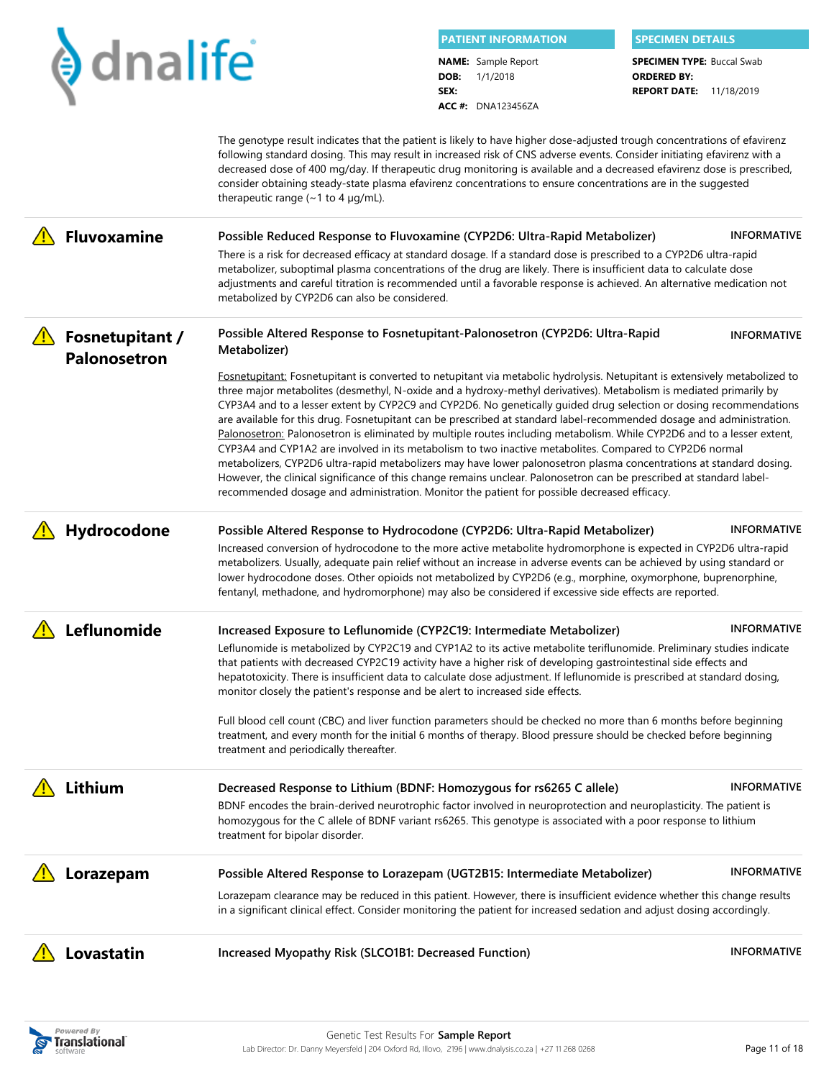|  |  |  |  |  | dnalife |
|--|--|--|--|--|---------|
|--|--|--|--|--|---------|

**DOB:** 1/1/2018 **PATIENT INFORMATION SPECIMEN DETAILS NAME:** Sample Report

**ACC #:** DNA123456ZA

**SEX:**

**REPORT DATE:** 11/18/2019 **SPECIMEN TYPE: Buccal Swab ORDERED BY:**

|                                        | The genotype result indicates that the patient is likely to have higher dose-adjusted trough concentrations of efavirenz<br>following standard dosing. This may result in increased risk of CNS adverse events. Consider initiating efavirenz with a<br>decreased dose of 400 mg/day. If therapeutic drug monitoring is available and a decreased efavirenz dose is prescribed,<br>consider obtaining steady-state plasma efavirenz concentrations to ensure concentrations are in the suggested<br>therapeutic range ( $\sim$ 1 to 4 µg/mL).                                                                                                                                                                                                                                                                                                                                                                                                                                                                                                                                                                                                                                      |                    |
|----------------------------------------|------------------------------------------------------------------------------------------------------------------------------------------------------------------------------------------------------------------------------------------------------------------------------------------------------------------------------------------------------------------------------------------------------------------------------------------------------------------------------------------------------------------------------------------------------------------------------------------------------------------------------------------------------------------------------------------------------------------------------------------------------------------------------------------------------------------------------------------------------------------------------------------------------------------------------------------------------------------------------------------------------------------------------------------------------------------------------------------------------------------------------------------------------------------------------------|--------------------|
| <b>Fluvoxamine</b>                     | Possible Reduced Response to Fluvoxamine (CYP2D6: Ultra-Rapid Metabolizer)<br>There is a risk for decreased efficacy at standard dosage. If a standard dose is prescribed to a CYP2D6 ultra-rapid<br>metabolizer, suboptimal plasma concentrations of the drug are likely. There is insufficient data to calculate dose<br>adjustments and careful titration is recommended until a favorable response is achieved. An alternative medication not<br>metabolized by CYP2D6 can also be considered.                                                                                                                                                                                                                                                                                                                                                                                                                                                                                                                                                                                                                                                                                 | <b>INFORMATIVE</b> |
| <b>Fosnetupitant /</b><br>Palonosetron | Possible Altered Response to Fosnetupitant-Palonosetron (CYP2D6: Ultra-Rapid<br>Metabolizer)<br>Fosnetupitant: Fosnetupitant is converted to netupitant via metabolic hydrolysis. Netupitant is extensively metabolized to<br>three major metabolites (desmethyl, N-oxide and a hydroxy-methyl derivatives). Metabolism is mediated primarily by<br>CYP3A4 and to a lesser extent by CYP2C9 and CYP2D6. No genetically guided drug selection or dosing recommendations<br>are available for this drug. Fosnetupitant can be prescribed at standard label-recommended dosage and administration.<br>Palonosetron: Palonosetron is eliminated by multiple routes including metabolism. While CYP2D6 and to a lesser extent,<br>CYP3A4 and CYP1A2 are involved in its metabolism to two inactive metabolites. Compared to CYP2D6 normal<br>metabolizers, CYP2D6 ultra-rapid metabolizers may have lower palonosetron plasma concentrations at standard dosing.<br>However, the clinical significance of this change remains unclear. Palonosetron can be prescribed at standard label-<br>recommended dosage and administration. Monitor the patient for possible decreased efficacy. | <b>INFORMATIVE</b> |
| Hydrocodone                            | Possible Altered Response to Hydrocodone (CYP2D6: Ultra-Rapid Metabolizer)<br>Increased conversion of hydrocodone to the more active metabolite hydromorphone is expected in CYP2D6 ultra-rapid<br>metabolizers. Usually, adequate pain relief without an increase in adverse events can be achieved by using standard or<br>lower hydrocodone doses. Other opioids not metabolized by CYP2D6 (e.g., morphine, oxymorphone, buprenorphine,<br>fentanyl, methadone, and hydromorphone) may also be considered if excessive side effects are reported.                                                                                                                                                                                                                                                                                                                                                                                                                                                                                                                                                                                                                               | <b>INFORMATIVE</b> |
| Leflunomide                            | Increased Exposure to Leflunomide (CYP2C19: Intermediate Metabolizer)<br>Leflunomide is metabolized by CYP2C19 and CYP1A2 to its active metabolite teriflunomide. Preliminary studies indicate<br>that patients with decreased CYP2C19 activity have a higher risk of developing gastrointestinal side effects and<br>hepatotoxicity. There is insufficient data to calculate dose adjustment. If leflunomide is prescribed at standard dosing,<br>monitor closely the patient's response and be alert to increased side effects.<br>Full blood cell count (CBC) and liver function parameters should be checked no more than 6 months before beginning<br>treatment, and every month for the initial 6 months of therapy. Blood pressure should be checked before beginning<br>treatment and periodically thereafter.                                                                                                                                                                                                                                                                                                                                                             | <b>INFORMATIVE</b> |
| Lithium                                | Decreased Response to Lithium (BDNF: Homozygous for rs6265 C allele)<br>BDNF encodes the brain-derived neurotrophic factor involved in neuroprotection and neuroplasticity. The patient is<br>homozygous for the C allele of BDNF variant rs6265. This genotype is associated with a poor response to lithium<br>treatment for bipolar disorder.                                                                                                                                                                                                                                                                                                                                                                                                                                                                                                                                                                                                                                                                                                                                                                                                                                   | <b>INFORMATIVE</b> |
| Lorazepam                              | Possible Altered Response to Lorazepam (UGT2B15: Intermediate Metabolizer)<br>Lorazepam clearance may be reduced in this patient. However, there is insufficient evidence whether this change results<br>in a significant clinical effect. Consider monitoring the patient for increased sedation and adjust dosing accordingly.                                                                                                                                                                                                                                                                                                                                                                                                                                                                                                                                                                                                                                                                                                                                                                                                                                                   | <b>INFORMATIVE</b> |
| Lovastatin                             | Increased Myopathy Risk (SLCO1B1: Decreased Function)                                                                                                                                                                                                                                                                                                                                                                                                                                                                                                                                                                                                                                                                                                                                                                                                                                                                                                                                                                                                                                                                                                                              | <b>INFORMATIVE</b> |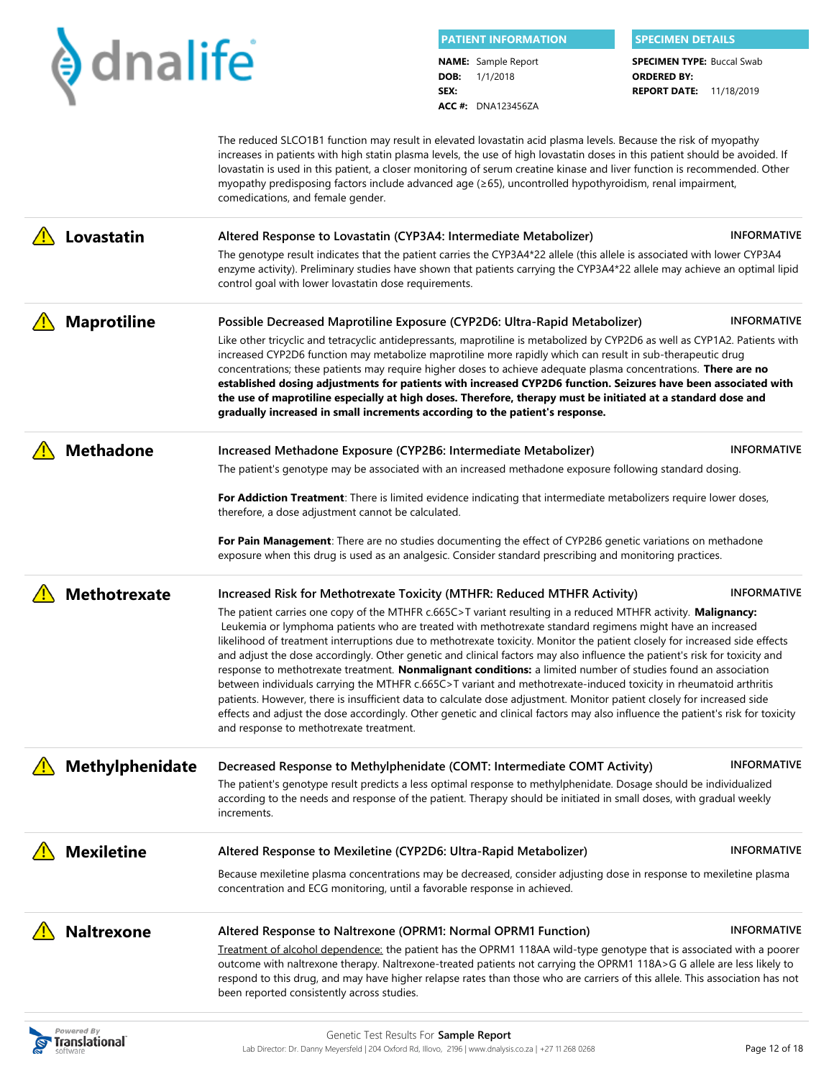

**Translational** 

**DOB:** 1/1/2018 **SEX: PATIENT INFORMATION SPECIMEN DETAILS NAME:** Sample Report

**ACC #:** DNA123456ZA

**REPORT DATE:** 11/18/2019 **SPECIMEN TYPE: Buccal Swab ORDERED BY:**

The reduced SLCO1B1 function may result in elevated lovastatin acid plasma levels. Because the risk of myopathy increases in patients with high statin plasma levels, the use of high lovastatin doses in this patient should be avoided. If lovastatin is used in this patient, a closer monitoring of serum creatine kinase and liver function is recommended. Other myopathy predisposing factors include advanced age (≥65), uncontrolled hypothyroidism, renal impairment, comedications, and female gender.

| Lovastatin                      | Altered Response to Lovastatin (CYP3A4: Intermediate Metabolizer)                                                                                                                                                                                                                                                                                                                                                                                                                                                                                                                                                                                                                                                                                                                                                                                                                                                                                                                                                                   | <b>INFORMATIVE</b> |
|---------------------------------|-------------------------------------------------------------------------------------------------------------------------------------------------------------------------------------------------------------------------------------------------------------------------------------------------------------------------------------------------------------------------------------------------------------------------------------------------------------------------------------------------------------------------------------------------------------------------------------------------------------------------------------------------------------------------------------------------------------------------------------------------------------------------------------------------------------------------------------------------------------------------------------------------------------------------------------------------------------------------------------------------------------------------------------|--------------------|
|                                 | The genotype result indicates that the patient carries the CYP3A4*22 allele (this allele is associated with lower CYP3A4<br>enzyme activity). Preliminary studies have shown that patients carrying the CYP3A4*22 allele may achieve an optimal lipid<br>control goal with lower lovastatin dose requirements.                                                                                                                                                                                                                                                                                                                                                                                                                                                                                                                                                                                                                                                                                                                      |                    |
| <b>Maprotiline</b>              | Possible Decreased Maprotiline Exposure (CYP2D6: Ultra-Rapid Metabolizer)                                                                                                                                                                                                                                                                                                                                                                                                                                                                                                                                                                                                                                                                                                                                                                                                                                                                                                                                                           | <b>INFORMATIVE</b> |
|                                 | Like other tricyclic and tetracyclic antidepressants, maprotiline is metabolized by CYP2D6 as well as CYP1A2. Patients with<br>increased CYP2D6 function may metabolize maprotiline more rapidly which can result in sub-therapeutic drug<br>concentrations; these patients may require higher doses to achieve adequate plasma concentrations. There are no<br>established dosing adjustments for patients with increased CYP2D6 function. Seizures have been associated with                                                                                                                                                                                                                                                                                                                                                                                                                                                                                                                                                      |                    |
|                                 | the use of maprotiline especially at high doses. Therefore, therapy must be initiated at a standard dose and<br>gradually increased in small increments according to the patient's response.                                                                                                                                                                                                                                                                                                                                                                                                                                                                                                                                                                                                                                                                                                                                                                                                                                        |                    |
| <b>Methadone</b>                | Increased Methadone Exposure (CYP2B6: Intermediate Metabolizer)                                                                                                                                                                                                                                                                                                                                                                                                                                                                                                                                                                                                                                                                                                                                                                                                                                                                                                                                                                     | <b>INFORMATIVE</b> |
|                                 | The patient's genotype may be associated with an increased methadone exposure following standard dosing.                                                                                                                                                                                                                                                                                                                                                                                                                                                                                                                                                                                                                                                                                                                                                                                                                                                                                                                            |                    |
|                                 | For Addiction Treatment: There is limited evidence indicating that intermediate metabolizers require lower doses,<br>therefore, a dose adjustment cannot be calculated.                                                                                                                                                                                                                                                                                                                                                                                                                                                                                                                                                                                                                                                                                                                                                                                                                                                             |                    |
|                                 | For Pain Management: There are no studies documenting the effect of CYP2B6 genetic variations on methadone<br>exposure when this drug is used as an analgesic. Consider standard prescribing and monitoring practices.                                                                                                                                                                                                                                                                                                                                                                                                                                                                                                                                                                                                                                                                                                                                                                                                              |                    |
| <b>Methotrexate</b>             | Increased Risk for Methotrexate Toxicity (MTHFR: Reduced MTHFR Activity)                                                                                                                                                                                                                                                                                                                                                                                                                                                                                                                                                                                                                                                                                                                                                                                                                                                                                                                                                            | <b>INFORMATIVE</b> |
|                                 | The patient carries one copy of the MTHFR c.665C>T variant resulting in a reduced MTHFR activity. Malignancy:<br>Leukemia or lymphoma patients who are treated with methotrexate standard regimens might have an increased<br>likelihood of treatment interruptions due to methotrexate toxicity. Monitor the patient closely for increased side effects<br>and adjust the dose accordingly. Other genetic and clinical factors may also influence the patient's risk for toxicity and<br>response to methotrexate treatment. Nonmalignant conditions: a limited number of studies found an association<br>between individuals carrying the MTHFR c.665C>T variant and methotrexate-induced toxicity in rheumatoid arthritis<br>patients. However, there is insufficient data to calculate dose adjustment. Monitor patient closely for increased side<br>effects and adjust the dose accordingly. Other genetic and clinical factors may also influence the patient's risk for toxicity<br>and response to methotrexate treatment. |                    |
| Methylphenidate                 | Decreased Response to Methylphenidate (COMT: Intermediate COMT Activity)                                                                                                                                                                                                                                                                                                                                                                                                                                                                                                                                                                                                                                                                                                                                                                                                                                                                                                                                                            | <b>INFORMATIVE</b> |
|                                 | The patient's genotype result predicts a less optimal response to methylphenidate. Dosage should be individualized<br>according to the needs and response of the patient. Therapy should be initiated in small doses, with gradual weekly<br>increments.                                                                                                                                                                                                                                                                                                                                                                                                                                                                                                                                                                                                                                                                                                                                                                            |                    |
| <b>Mexiletine</b>               | Altered Response to Mexiletine (CYP2D6: Ultra-Rapid Metabolizer)                                                                                                                                                                                                                                                                                                                                                                                                                                                                                                                                                                                                                                                                                                                                                                                                                                                                                                                                                                    | <b>INFORMATIVE</b> |
|                                 | Because mexiletine plasma concentrations may be decreased, consider adjusting dose in response to mexiletine plasma<br>concentration and ECG monitoring, until a favorable response in achieved.                                                                                                                                                                                                                                                                                                                                                                                                                                                                                                                                                                                                                                                                                                                                                                                                                                    |                    |
| <b>Naltrexone</b>               | Altered Response to Naltrexone (OPRM1: Normal OPRM1 Function)                                                                                                                                                                                                                                                                                                                                                                                                                                                                                                                                                                                                                                                                                                                                                                                                                                                                                                                                                                       | <b>INFORMATIVE</b> |
|                                 | Treatment of alcohol dependence: the patient has the OPRM1 118AA wild-type genotype that is associated with a poorer<br>outcome with naltrexone therapy. Naltrexone-treated patients not carrying the OPRM1 118A>G G allele are less likely to<br>respond to this drug, and may have higher relapse rates than those who are carriers of this allele. This association has not<br>been reported consistently across studies.                                                                                                                                                                                                                                                                                                                                                                                                                                                                                                                                                                                                        |                    |
| <b>Powered By</b><br>oclotianal | Genetic Test Results For Sample Report                                                                                                                                                                                                                                                                                                                                                                                                                                                                                                                                                                                                                                                                                                                                                                                                                                                                                                                                                                                              |                    |

Lab Director: Dr. Danny Meyersfeld | 204 Oxford Rd, Illovo, 2196 | www.dnalysis.co.za | +27 11 268 0268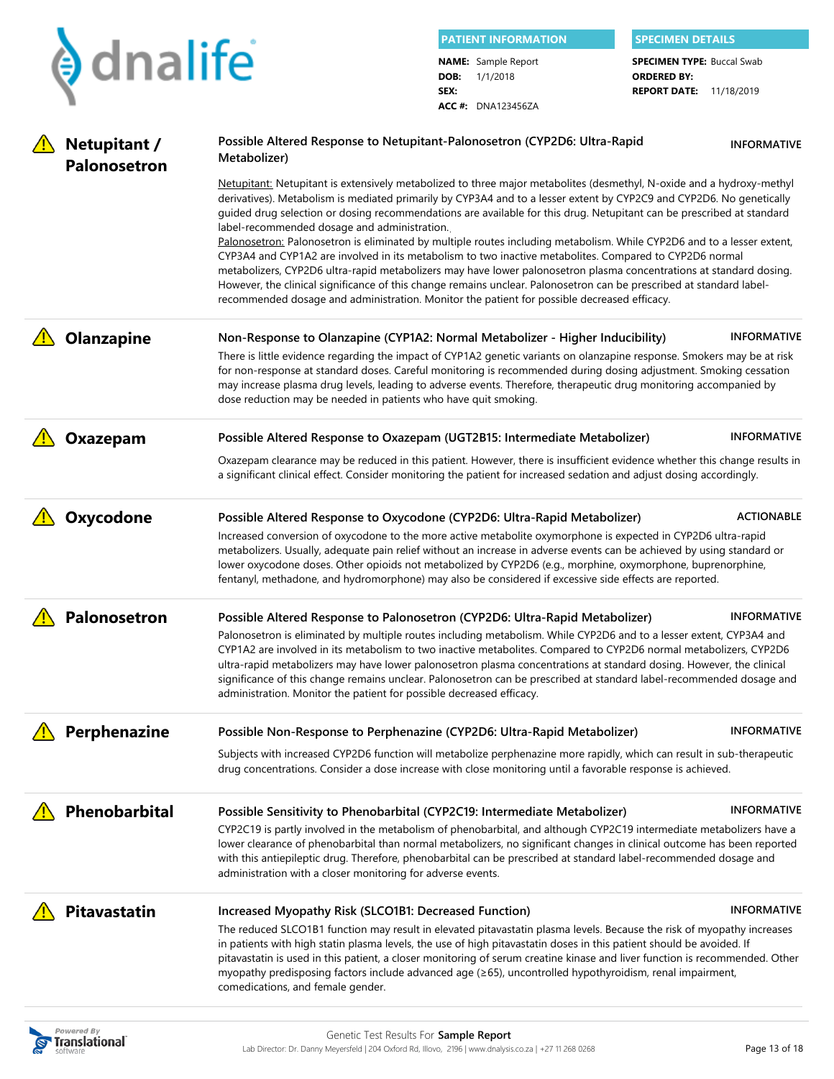|                                     |                                                                                                                                                                                                                                                                                                                                                                                                                                                                                                                                                                                                                                                                                                                                                                                                                                                                                                                                                                                                           |              | <b>PATIENT INFORMATION</b> | <b>SPECIMEN DETAILS</b>                              |                    |
|-------------------------------------|-----------------------------------------------------------------------------------------------------------------------------------------------------------------------------------------------------------------------------------------------------------------------------------------------------------------------------------------------------------------------------------------------------------------------------------------------------------------------------------------------------------------------------------------------------------------------------------------------------------------------------------------------------------------------------------------------------------------------------------------------------------------------------------------------------------------------------------------------------------------------------------------------------------------------------------------------------------------------------------------------------------|--------------|----------------------------|------------------------------------------------------|--------------------|
| $\blacklozenge$ dnalife             |                                                                                                                                                                                                                                                                                                                                                                                                                                                                                                                                                                                                                                                                                                                                                                                                                                                                                                                                                                                                           |              | <b>NAME:</b> Sample Report | <b>SPECIMEN TYPE: Buccal Swab</b>                    |                    |
|                                     |                                                                                                                                                                                                                                                                                                                                                                                                                                                                                                                                                                                                                                                                                                                                                                                                                                                                                                                                                                                                           | DOB:<br>SEX: | 1/1/2018                   | <b>ORDERED BY:</b><br><b>REPORT DATE: 11/18/2019</b> |                    |
|                                     |                                                                                                                                                                                                                                                                                                                                                                                                                                                                                                                                                                                                                                                                                                                                                                                                                                                                                                                                                                                                           |              | <b>ACC #: DNA123456ZA</b>  |                                                      |                    |
| Netupitant /<br><b>Palonosetron</b> | Possible Altered Response to Netupitant-Palonosetron (CYP2D6: Ultra-Rapid<br>Metabolizer)                                                                                                                                                                                                                                                                                                                                                                                                                                                                                                                                                                                                                                                                                                                                                                                                                                                                                                                 |              |                            |                                                      | <b>INFORMATIVE</b> |
|                                     | Netupitant: Netupitant is extensively metabolized to three major metabolites (desmethyl, N-oxide and a hydroxy-methyl<br>derivatives). Metabolism is mediated primarily by CYP3A4 and to a lesser extent by CYP2C9 and CYP2D6. No genetically<br>guided drug selection or dosing recommendations are available for this drug. Netupitant can be prescribed at standard<br>label-recommended dosage and administration.<br>Palonosetron: Palonosetron is eliminated by multiple routes including metabolism. While CYP2D6 and to a lesser extent,<br>CYP3A4 and CYP1A2 are involved in its metabolism to two inactive metabolites. Compared to CYP2D6 normal<br>metabolizers, CYP2D6 ultra-rapid metabolizers may have lower palonosetron plasma concentrations at standard dosing.<br>However, the clinical significance of this change remains unclear. Palonosetron can be prescribed at standard label-<br>recommended dosage and administration. Monitor the patient for possible decreased efficacy. |              |                            |                                                      |                    |
| <b>Olanzapine</b>                   | Non-Response to Olanzapine (CYP1A2: Normal Metabolizer - Higher Inducibility)<br>There is little evidence regarding the impact of CYP1A2 genetic variants on olanzapine response. Smokers may be at risk<br>for non-response at standard doses. Careful monitoring is recommended during dosing adjustment. Smoking cessation<br>may increase plasma drug levels, leading to adverse events. Therefore, therapeutic drug monitoring accompanied by<br>dose reduction may be needed in patients who have quit smoking.                                                                                                                                                                                                                                                                                                                                                                                                                                                                                     |              |                            |                                                      | <b>INFORMATIVE</b> |
| Oxazepam                            | Possible Altered Response to Oxazepam (UGT2B15: Intermediate Metabolizer)                                                                                                                                                                                                                                                                                                                                                                                                                                                                                                                                                                                                                                                                                                                                                                                                                                                                                                                                 |              |                            |                                                      | <b>INFORMATIVE</b> |
|                                     | Oxazepam clearance may be reduced in this patient. However, there is insufficient evidence whether this change results in<br>a significant clinical effect. Consider monitoring the patient for increased sedation and adjust dosing accordingly.                                                                                                                                                                                                                                                                                                                                                                                                                                                                                                                                                                                                                                                                                                                                                         |              |                            |                                                      |                    |
| Oxycodone                           | Possible Altered Response to Oxycodone (CYP2D6: Ultra-Rapid Metabolizer)<br>Increased conversion of oxycodone to the more active metabolite oxymorphone is expected in CYP2D6 ultra-rapid<br>metabolizers. Usually, adequate pain relief without an increase in adverse events can be achieved by using standard or<br>lower oxycodone doses. Other opioids not metabolized by CYP2D6 (e.g., morphine, oxymorphone, buprenorphine,<br>fentanyl, methadone, and hydromorphone) may also be considered if excessive side effects are reported.                                                                                                                                                                                                                                                                                                                                                                                                                                                              |              |                            |                                                      | <b>ACTIONABLE</b>  |
| Palonosetron                        | Possible Altered Response to Palonosetron (CYP2D6: Ultra-Rapid Metabolizer)<br>Palonosetron is eliminated by multiple routes including metabolism. While CYP2D6 and to a lesser extent, CYP3A4 and<br>CYP1A2 are involved in its metabolism to two inactive metabolites. Compared to CYP2D6 normal metabolizers, CYP2D6<br>ultra-rapid metabolizers may have lower palonosetron plasma concentrations at standard dosing. However, the clinical<br>significance of this change remains unclear. Palonosetron can be prescribed at standard label-recommended dosage and<br>administration. Monitor the patient for possible decreased efficacy.                                                                                                                                                                                                                                                                                                                                                           |              |                            |                                                      | <b>INFORMATIVE</b> |
| Perphenazine                        | Possible Non-Response to Perphenazine (CYP2D6: Ultra-Rapid Metabolizer)                                                                                                                                                                                                                                                                                                                                                                                                                                                                                                                                                                                                                                                                                                                                                                                                                                                                                                                                   |              |                            |                                                      | <b>INFORMATIVE</b> |
|                                     | Subjects with increased CYP2D6 function will metabolize perphenazine more rapidly, which can result in sub-therapeutic<br>drug concentrations. Consider a dose increase with close monitoring until a favorable response is achieved.                                                                                                                                                                                                                                                                                                                                                                                                                                                                                                                                                                                                                                                                                                                                                                     |              |                            |                                                      |                    |
| Phenobarbital                       | Possible Sensitivity to Phenobarbital (CYP2C19: Intermediate Metabolizer)                                                                                                                                                                                                                                                                                                                                                                                                                                                                                                                                                                                                                                                                                                                                                                                                                                                                                                                                 |              |                            |                                                      | <b>INFORMATIVE</b> |
|                                     | CYP2C19 is partly involved in the metabolism of phenobarbital, and although CYP2C19 intermediate metabolizers have a<br>lower clearance of phenobarbital than normal metabolizers, no significant changes in clinical outcome has been reported<br>with this antiepileptic drug. Therefore, phenobarbital can be prescribed at standard label-recommended dosage and<br>administration with a closer monitoring for adverse events.                                                                                                                                                                                                                                                                                                                                                                                                                                                                                                                                                                       |              |                            |                                                      |                    |
| <b>Pitavastatin</b>                 | Increased Myopathy Risk (SLCO1B1: Decreased Function)                                                                                                                                                                                                                                                                                                                                                                                                                                                                                                                                                                                                                                                                                                                                                                                                                                                                                                                                                     |              |                            |                                                      | <b>INFORMATIVE</b> |
|                                     | The reduced SLCO1B1 function may result in elevated pitavastatin plasma levels. Because the risk of myopathy increases<br>in patients with high statin plasma levels, the use of high pitavastatin doses in this patient should be avoided. If<br>pitavastatin is used in this patient, a closer monitoring of serum creatine kinase and liver function is recommended. Other<br>myopathy predisposing factors include advanced age (≥65), uncontrolled hypothyroidism, renal impairment,<br>comedications, and female gender.                                                                                                                                                                                                                                                                                                                                                                                                                                                                            |              |                            |                                                      |                    |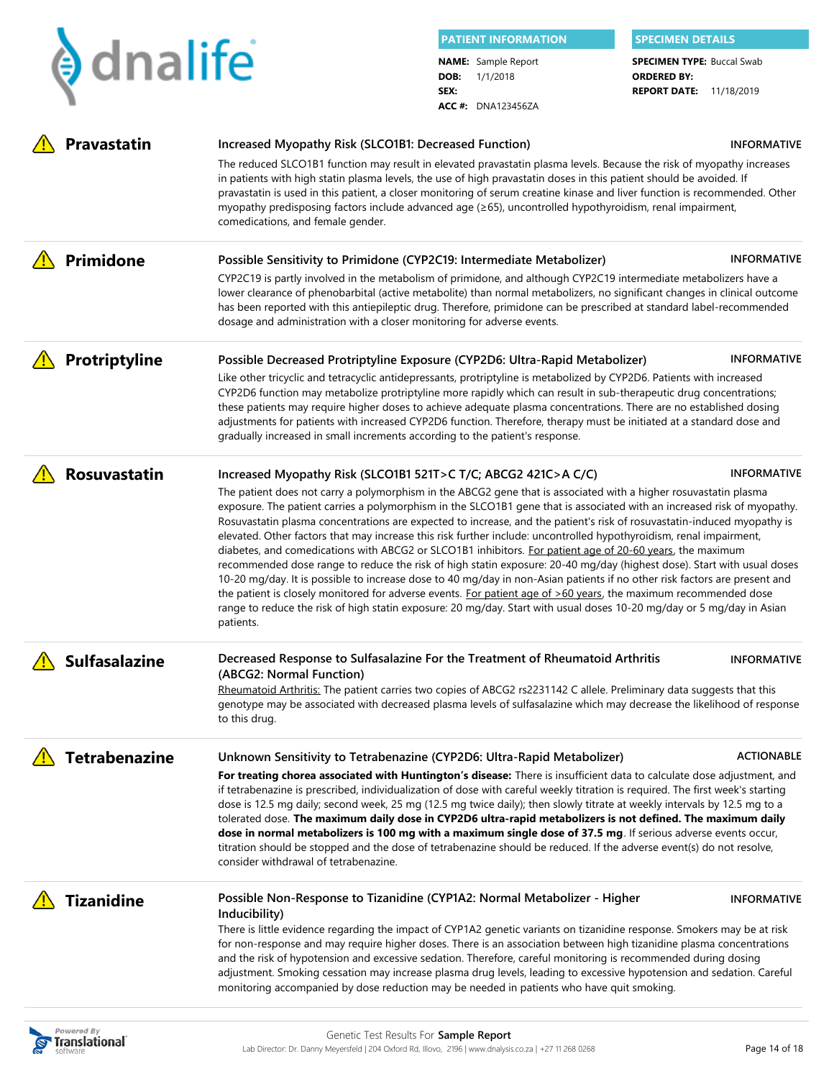|                               |                                                                                                                                                                                                                                                                                                                                                                                                                                                                                                                                                                                                                                                                                                                                                                                                                                                                                                                                                                                                                                                                                                                                                                                              | <b>PATIENT INFORMATION</b> |                                                                     | <b>SPECIMEN DETAILS</b>                                                                   |                    |
|-------------------------------|----------------------------------------------------------------------------------------------------------------------------------------------------------------------------------------------------------------------------------------------------------------------------------------------------------------------------------------------------------------------------------------------------------------------------------------------------------------------------------------------------------------------------------------------------------------------------------------------------------------------------------------------------------------------------------------------------------------------------------------------------------------------------------------------------------------------------------------------------------------------------------------------------------------------------------------------------------------------------------------------------------------------------------------------------------------------------------------------------------------------------------------------------------------------------------------------|----------------------------|---------------------------------------------------------------------|-------------------------------------------------------------------------------------------|--------------------|
| $\blacktriangleright$ dnalife |                                                                                                                                                                                                                                                                                                                                                                                                                                                                                                                                                                                                                                                                                                                                                                                                                                                                                                                                                                                                                                                                                                                                                                                              | DOB:<br>SEX:               | <b>NAME:</b> Sample Report<br>1/1/2018<br><b>ACC #: DNA123456ZA</b> | <b>SPECIMEN TYPE: Buccal Swab</b><br><b>ORDERED BY:</b><br><b>REPORT DATE: 11/18/2019</b> |                    |
| <b>Pravastatin</b>            | Increased Myopathy Risk (SLCO1B1: Decreased Function)                                                                                                                                                                                                                                                                                                                                                                                                                                                                                                                                                                                                                                                                                                                                                                                                                                                                                                                                                                                                                                                                                                                                        |                            |                                                                     |                                                                                           | <b>INFORMATIVE</b> |
|                               | The reduced SLCO1B1 function may result in elevated pravastatin plasma levels. Because the risk of myopathy increases<br>in patients with high statin plasma levels, the use of high pravastatin doses in this patient should be avoided. If<br>pravastatin is used in this patient, a closer monitoring of serum creatine kinase and liver function is recommended. Other<br>myopathy predisposing factors include advanced age (≥65), uncontrolled hypothyroidism, renal impairment,<br>comedications, and female gender.                                                                                                                                                                                                                                                                                                                                                                                                                                                                                                                                                                                                                                                                  |                            |                                                                     |                                                                                           |                    |
| Primidone                     | Possible Sensitivity to Primidone (CYP2C19: Intermediate Metabolizer)<br>CYP2C19 is partly involved in the metabolism of primidone, and although CYP2C19 intermediate metabolizers have a<br>lower clearance of phenobarbital (active metabolite) than normal metabolizers, no significant changes in clinical outcome<br>has been reported with this antiepileptic drug. Therefore, primidone can be prescribed at standard label-recommended<br>dosage and administration with a closer monitoring for adverse events.                                                                                                                                                                                                                                                                                                                                                                                                                                                                                                                                                                                                                                                                     |                            |                                                                     |                                                                                           | <b>INFORMATIVE</b> |
| Protriptyline                 | Possible Decreased Protriptyline Exposure (CYP2D6: Ultra-Rapid Metabolizer)<br>Like other tricyclic and tetracyclic antidepressants, protriptyline is metabolized by CYP2D6. Patients with increased<br>CYP2D6 function may metabolize protriptyline more rapidly which can result in sub-therapeutic drug concentrations;<br>these patients may require higher doses to achieve adequate plasma concentrations. There are no established dosing<br>adjustments for patients with increased CYP2D6 function. Therefore, therapy must be initiated at a standard dose and<br>gradually increased in small increments according to the patient's response.                                                                                                                                                                                                                                                                                                                                                                                                                                                                                                                                     |                            |                                                                     |                                                                                           | <b>INFORMATIVE</b> |
| <b>Rosuvastatin</b>           | Increased Myopathy Risk (SLCO1B1 521T>C T/C; ABCG2 421C>A C/C)<br>The patient does not carry a polymorphism in the ABCG2 gene that is associated with a higher rosuvastatin plasma<br>exposure. The patient carries a polymorphism in the SLCO1B1 gene that is associated with an increased risk of myopathy.<br>Rosuvastatin plasma concentrations are expected to increase, and the patient's risk of rosuvastatin-induced myopathy is<br>elevated. Other factors that may increase this risk further include: uncontrolled hypothyroidism, renal impairment,<br>diabetes, and comedications with ABCG2 or SLCO1B1 inhibitors. For patient age of 20-60 years, the maximum<br>recommended dose range to reduce the risk of high statin exposure: 20-40 mg/day (highest dose). Start with usual doses<br>10-20 mg/day. It is possible to increase dose to 40 mg/day in non-Asian patients if no other risk factors are present and<br>the patient is closely monitored for adverse events. For patient age of >60 years, the maximum recommended dose<br>range to reduce the risk of high statin exposure: 20 mg/day. Start with usual doses 10-20 mg/day or 5 mg/day in Asian<br>patients. |                            |                                                                     |                                                                                           | <b>INFORMATIVE</b> |
| <b>Sulfasalazine</b>          | Decreased Response to Sulfasalazine For the Treatment of Rheumatoid Arthritis<br>(ABCG2: Normal Function)<br>Rheumatoid Arthritis: The patient carries two copies of ABCG2 rs2231142 C allele. Preliminary data suggests that this<br>genotype may be associated with decreased plasma levels of sulfasalazine which may decrease the likelihood of response<br>to this drug.                                                                                                                                                                                                                                                                                                                                                                                                                                                                                                                                                                                                                                                                                                                                                                                                                |                            |                                                                     |                                                                                           | <b>INFORMATIVE</b> |
| <b>Tetrabenazine</b>          | Unknown Sensitivity to Tetrabenazine (CYP2D6: Ultra-Rapid Metabolizer)<br>For treating chorea associated with Huntington's disease: There is insufficient data to calculate dose adjustment, and<br>if tetrabenazine is prescribed, individualization of dose with careful weekly titration is required. The first week's starting<br>dose is 12.5 mg daily; second week, 25 mg (12.5 mg twice daily); then slowly titrate at weekly intervals by 12.5 mg to a<br>tolerated dose. The maximum daily dose in CYP2D6 ultra-rapid metabolizers is not defined. The maximum daily<br>dose in normal metabolizers is 100 mg with a maximum single dose of 37.5 mg. If serious adverse events occur,<br>titration should be stopped and the dose of tetrabenazine should be reduced. If the adverse event(s) do not resolve,<br>consider withdrawal of tetrabenazine.                                                                                                                                                                                                                                                                                                                              |                            |                                                                     |                                                                                           | <b>ACTIONABLE</b>  |
| <b>Tizanidine</b>             | Possible Non-Response to Tizanidine (CYP1A2: Normal Metabolizer - Higher<br>Inducibility)<br>There is little evidence regarding the impact of CYP1A2 genetic variants on tizanidine response. Smokers may be at risk<br>for non-response and may require higher doses. There is an association between high tizanidine plasma concentrations<br>and the risk of hypotension and excessive sedation. Therefore, careful monitoring is recommended during dosing<br>adjustment. Smoking cessation may increase plasma drug levels, leading to excessive hypotension and sedation. Careful<br>monitoring accompanied by dose reduction may be needed in patients who have quit smoking.                                                                                                                                                                                                                                                                                                                                                                                                                                                                                                         |                            |                                                                     |                                                                                           | <b>INFORMATIVE</b> |

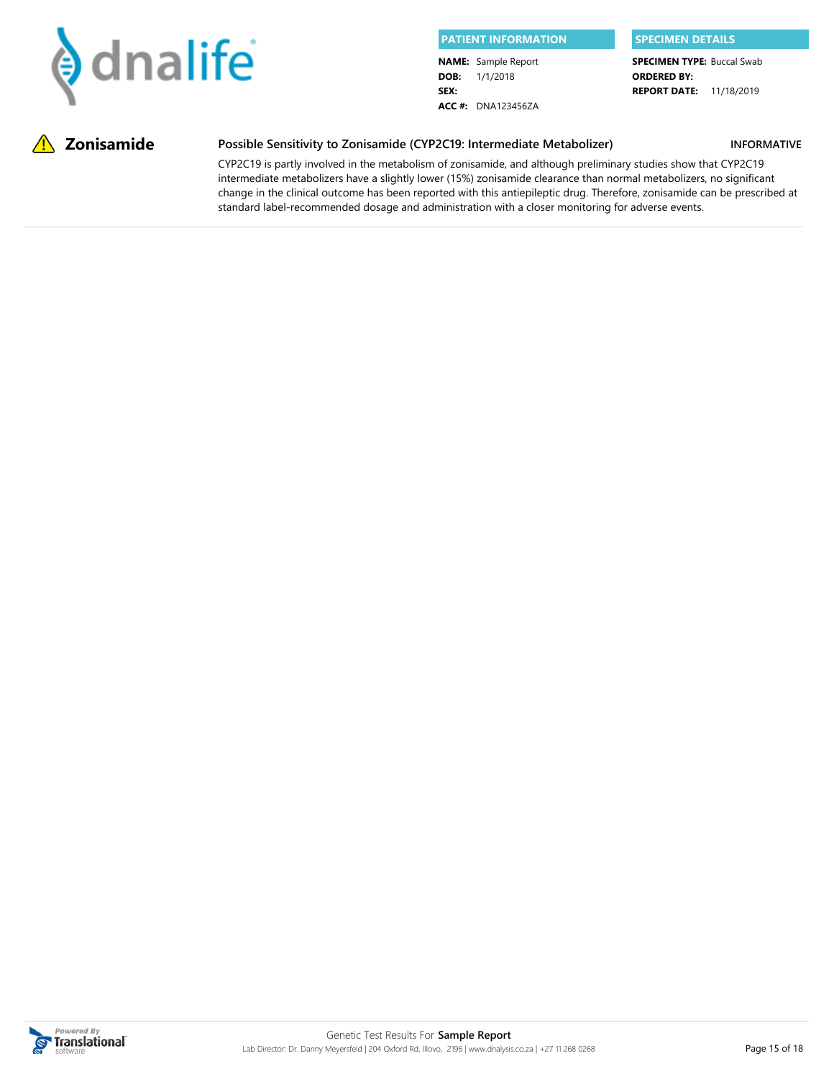

**DOB:** 1/1/2018 **SEX: NAME:** Sample Report **ACC #:** DNA123456ZA

**REPORT DATE:** 11/18/2019 **SPECIMEN TYPE: Buccal Swab ORDERED BY:**

**INFORMATIVE**

#### **Zonisamide Possible Sensitivity to Zonisamide (CYP2C19: Intermediate Metabolizer)**

CYP2C19 is partly involved in the metabolism of zonisamide, and although preliminary studies show that CYP2C19 intermediate metabolizers have a slightly lower (15%) zonisamide clearance than normal metabolizers, no significant change in the clinical outcome has been reported with this antiepileptic drug. Therefore, zonisamide can be prescribed at standard label-recommended dosage and administration with a closer monitoring for adverse events.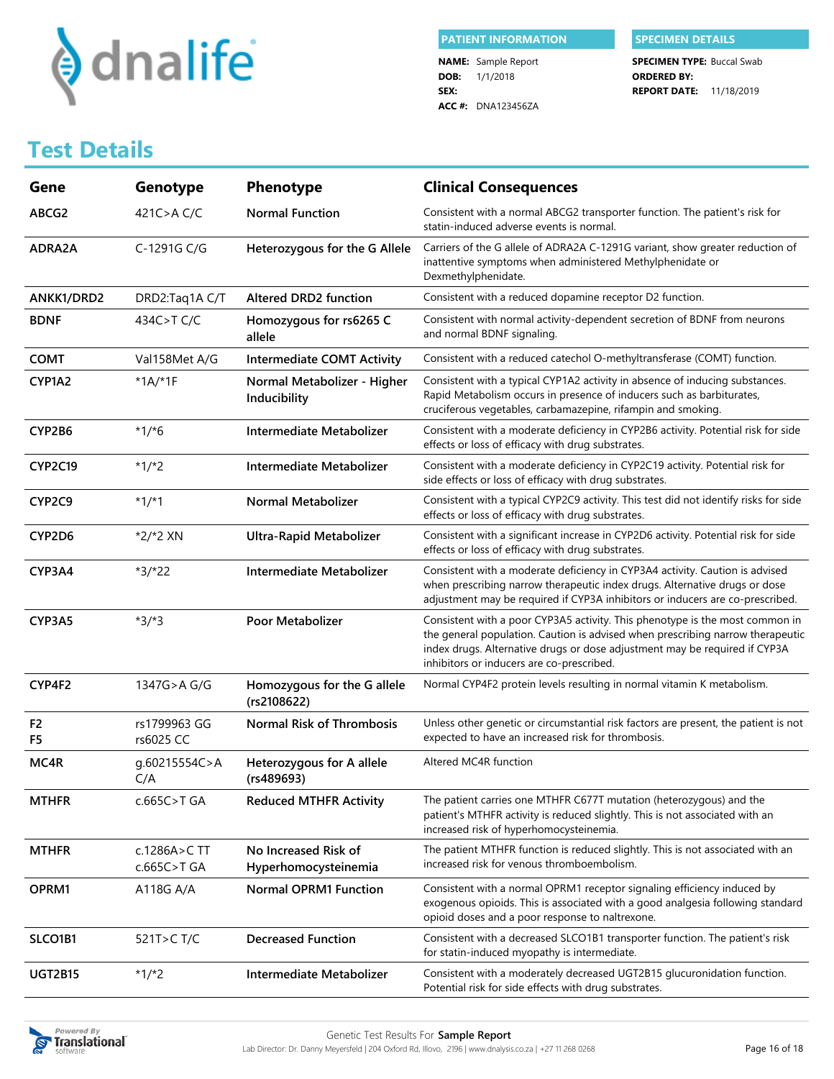

**DOB:** 1/1/2018 **SEX: NAME:** Sample Report **ACC #:** DNA123456ZA

**REPORT DATE:** 11/18/2019 **SPECIMEN TYPE: Buccal Swab ORDERED BY:**

## **Test Details**

| Gene                 | Genotype                    | <b>Phenotype</b>                             | <b>Clinical Consequences</b>                                                                                                                                                                                                                                                              |
|----------------------|-----------------------------|----------------------------------------------|-------------------------------------------------------------------------------------------------------------------------------------------------------------------------------------------------------------------------------------------------------------------------------------------|
| ABCG2                | 421C>AC/C                   | <b>Normal Function</b>                       | Consistent with a normal ABCG2 transporter function. The patient's risk for<br>statin-induced adverse events is normal.                                                                                                                                                                   |
| ADRA2A               | C-1291G C/G                 | Heterozygous for the G Allele                | Carriers of the G allele of ADRA2A C-1291G variant, show greater reduction of<br>inattentive symptoms when administered Methylphenidate or<br>Dexmethylphenidate.                                                                                                                         |
| ANKK1/DRD2           | DRD2:Taq1A C/T              | <b>Altered DRD2 function</b>                 | Consistent with a reduced dopamine receptor D2 function.                                                                                                                                                                                                                                  |
| <b>BDNF</b>          | 434C>T C/C                  | Homozygous for rs6265 C<br>allele            | Consistent with normal activity-dependent secretion of BDNF from neurons<br>and normal BDNF signaling.                                                                                                                                                                                    |
| <b>COMT</b>          | Val158Met A/G               | <b>Intermediate COMT Activity</b>            | Consistent with a reduced catechol O-methyltransferase (COMT) function.                                                                                                                                                                                                                   |
| CYP1A2               | $*1A/*1F$                   | Normal Metabolizer - Higher<br>Inducibility  | Consistent with a typical CYP1A2 activity in absence of inducing substances.<br>Rapid Metabolism occurs in presence of inducers such as barbiturates,<br>cruciferous vegetables, carbamazepine, rifampin and smoking.                                                                     |
| CYP2B6               | $*1/*6$                     | Intermediate Metabolizer                     | Consistent with a moderate deficiency in CYP2B6 activity. Potential risk for side<br>effects or loss of efficacy with drug substrates.                                                                                                                                                    |
| CYP2C19              | $*1/*2$                     | Intermediate Metabolizer                     | Consistent with a moderate deficiency in CYP2C19 activity. Potential risk for<br>side effects or loss of efficacy with drug substrates.                                                                                                                                                   |
| CYP2C9               | $*1/*1$                     | <b>Normal Metabolizer</b>                    | Consistent with a typical CYP2C9 activity. This test did not identify risks for side<br>effects or loss of efficacy with drug substrates.                                                                                                                                                 |
| CYP2D6               | *2/*2 XN                    | <b>Ultra-Rapid Metabolizer</b>               | Consistent with a significant increase in CYP2D6 activity. Potential risk for side<br>effects or loss of efficacy with drug substrates.                                                                                                                                                   |
| CYP3A4               | *3/*22                      | Intermediate Metabolizer                     | Consistent with a moderate deficiency in CYP3A4 activity. Caution is advised<br>when prescribing narrow therapeutic index drugs. Alternative drugs or dose<br>adjustment may be required if CYP3A inhibitors or inducers are co-prescribed.                                               |
| CYP3A5               | $*3/*3$                     | Poor Metabolizer                             | Consistent with a poor CYP3A5 activity. This phenotype is the most common in<br>the general population. Caution is advised when prescribing narrow therapeutic<br>index drugs. Alternative drugs or dose adjustment may be required if CYP3A<br>inhibitors or inducers are co-prescribed. |
| CYP4F2               | 1347G>A G/G                 | Homozygous for the G allele<br>(rs2108622)   | Normal CYP4F2 protein levels resulting in normal vitamin K metabolism.                                                                                                                                                                                                                    |
| F <sub>2</sub><br>F5 | rs1799963 GG<br>rs6025 CC   | <b>Normal Risk of Thrombosis</b>             | Unless other genetic or circumstantial risk factors are present, the patient is not<br>expected to have an increased risk for thrombosis.                                                                                                                                                 |
| MC4R                 | g.60215554C>A<br>C/A        | Heterozygous for A allele<br>(rs489693)      | Altered MC4R function                                                                                                                                                                                                                                                                     |
| <b>MTHFR</b>         | c.665C>T GA                 | <b>Reduced MTHFR Activity</b>                | The patient carries one MTHFR C677T mutation (heterozygous) and the<br>patient's MTHFR activity is reduced slightly. This is not associated with an<br>increased risk of hyperhomocysteinemia.                                                                                            |
| <b>MTHFR</b>         | c.1286A>C TT<br>c.665C>T GA | No Increased Risk of<br>Hyperhomocysteinemia | The patient MTHFR function is reduced slightly. This is not associated with an<br>increased risk for venous thromboembolism.                                                                                                                                                              |
| OPRM1                | A118G A/A                   | <b>Normal OPRM1 Function</b>                 | Consistent with a normal OPRM1 receptor signaling efficiency induced by<br>exogenous opioids. This is associated with a good analgesia following standard<br>opioid doses and a poor response to naltrexone.                                                                              |
| SLCO1B1              | 521T>CT/C                   | <b>Decreased Function</b>                    | Consistent with a decreased SLCO1B1 transporter function. The patient's risk<br>for statin-induced myopathy is intermediate.                                                                                                                                                              |
| <b>UGT2B15</b>       | $*1/*2$                     | Intermediate Metabolizer                     | Consistent with a moderately decreased UGT2B15 glucuronidation function.<br>Potential risk for side effects with drug substrates.                                                                                                                                                         |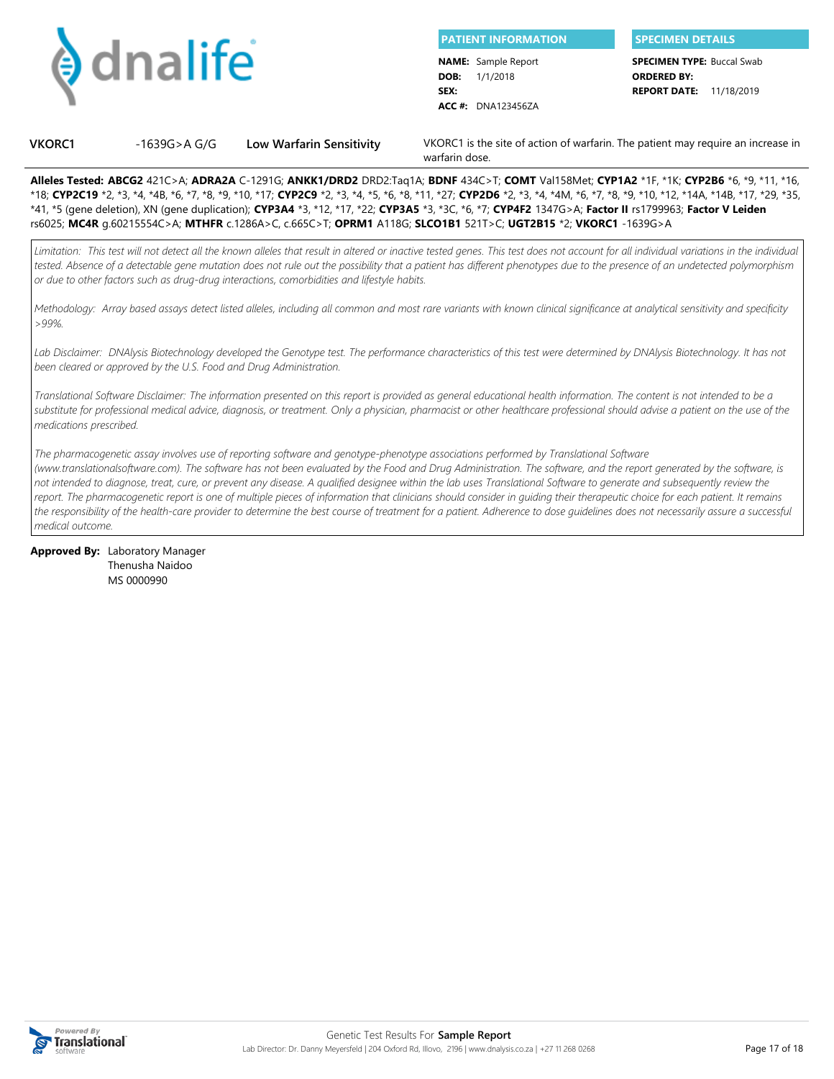

**DOB:** 1/1/2018 **SEX: PATIENT INFORMATION SPECIMEN DETAILS NAME:** Sample Report **ACC #:** DNA123456ZA

**SPECIMEN TYPE: Buccal Swab ORDERED BY:**

**REPORT DATE:** 11/18/2019

**VKORC1** -1639G>A G/G **Low Warfarin Sensitivity** VKORC1 is the site of action of warfarin. The patient may require an increase in warfarin dose.

**Alleles Tested: ABCG2** 421C>A; **ADRA2A** C-1291G; **ANKK1/DRD2** DRD2:Taq1A; **BDNF** 434C>T; **COMT** Val158Met; **CYP1A2** \*1F, \*1K; **CYP2B6** \*6, \*9, \*11, \*16, \*18; **CYP2C19** \*2, \*3, \*4, \*4B, \*6, \*7, \*8, \*9, \*10, \*17; **CYP2C9** \*2, \*3, \*4, \*5, \*6, \*8, \*11, \*27; **CYP2D6** \*2, \*3, \*4, \*4M, \*6, \*7, \*8, \*9, \*10, \*12, \*14A, \*14B, \*17, \*29, \*35, \*41, \*5 (gene deletion), XN (gene duplication); **CYP3A4** \*3, \*12, \*17, \*22; **CYP3A5** \*3, \*3C, \*6, \*7; **CYP4F2** 1347G>A; **Factor II** rs1799963; **Factor V Leiden** rs6025; **MC4R** g.60215554C>A; **MTHFR** c.1286A>C, c.665C>T; **OPRM1** A118G; **SLCO1B1** 521T>C; **UGT2B15** \*2; **VKORC1** -1639G>A

*Limitation: This test will not detect all the known alleles that result in altered or inactive tested genes. This test does not account for all individual variations in the individual tested. Absence of a detectable gene mutation does not rule out the possibility that a patient has different phenotypes due to the presence of an undetected polymorphism or due to other factors such as drug-drug interactions, comorbidities and lifestyle habits.*

*Methodology: Array based assays detect listed alleles, including all common and most rare variants with known clinical significance at analytical sensitivity and specificity >99%.*

*Lab Disclaimer: DNAlysis Biotechnology developed the Genotype test. The performance characteristics of this test were determined by DNAlysis Biotechnology. It has not been cleared or approved by the U.S. Food and Drug Administration.*

*Translational Software Disclaimer: The information presented on this report is provided as general educational health information. The content is not intended to be a substitute for professional medical advice, diagnosis, or treatment. Only a physician, pharmacist or other healthcare professional should advise a patient on the use of the medications prescribed.*

*The pharmacogenetic assay involves use of reporting software and genotype-phenotype associations performed by Translational Software (www.translationalsoftware.com). The software has not been evaluated by the Food and Drug Administration. The software, and the report generated by the software, is not intended to diagnose, treat, cure, or prevent any disease. A qualified designee within the lab uses Translational Software to generate and subsequently review the report. The pharmacogenetic report is one of multiple pieces of information that clinicians should consider in guiding their therapeutic choice for each patient. It remains the responsibility of the health-care provider to determine the best course of treatment for a patient. Adherence to dose guidelines does not necessarily assure a successful medical outcome.*

| <b>Approved By: Laboratory Manager</b> |
|----------------------------------------|
| Thenusha Naidoo                        |
| MS 0000990                             |